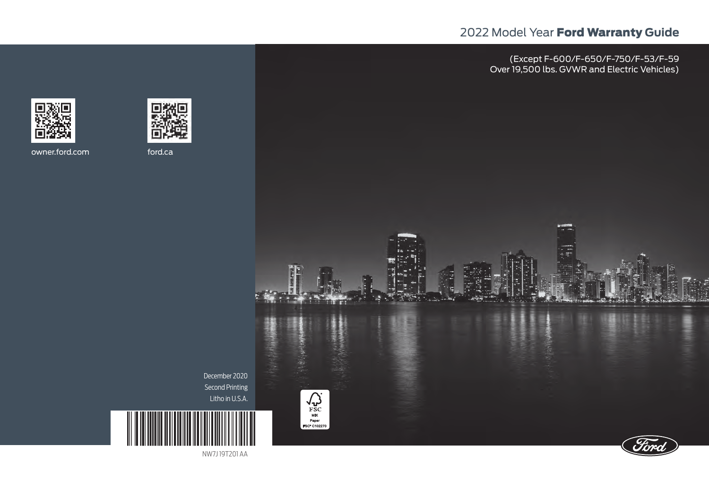# 2022 Model Year Ford Warranty **Guide**

(Except F-600/F-650/F-750/F-53/F-59 Over 19,500 lbs. GVWR and Electric Vehicles)





owner.ford.com ford.ca



NW7J 19T201 AA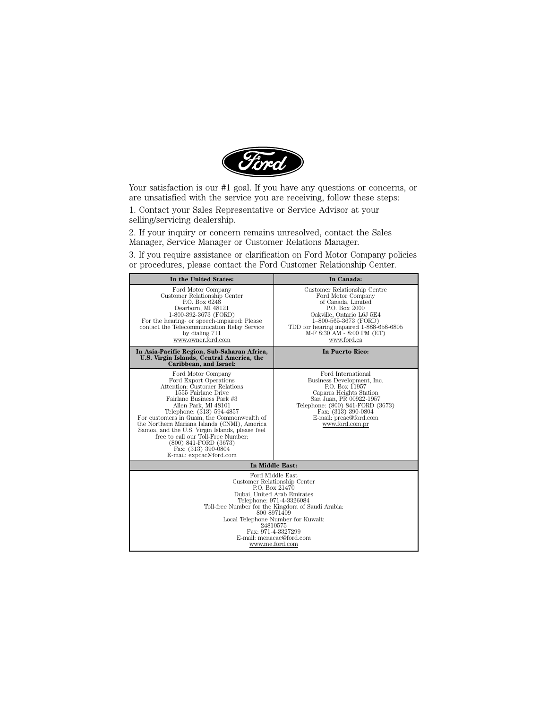

Your satisfaction is our #1 goal. If you have any questions or concerns, or are unsatisfied with the service you are receiving, follow these steps:

1. Contact your Sales Representative or Service Advisor at your selling/servicing dealership.

2. If your inquiry or concern remains unresolved, contact the Sales Manager, Service Manager or Customer Relations Manager.

3. If you require assistance or clarification on Ford Motor Company policies or procedures, please contact the Ford Customer Relationship Center.

| In the United States:                                                                                                                                                                                                                                                                                                                                                                                                                                    | In Canada:                                                                                                                                                                                                                              |  |
|----------------------------------------------------------------------------------------------------------------------------------------------------------------------------------------------------------------------------------------------------------------------------------------------------------------------------------------------------------------------------------------------------------------------------------------------------------|-----------------------------------------------------------------------------------------------------------------------------------------------------------------------------------------------------------------------------------------|--|
| Ford Motor Company<br>Customer Relationship Center<br>P.O. Box 6248<br>Dearborn, MI 48121<br>1-800-392-3673 (FORD)<br>For the hearing- or speech-impaired: Please<br>contact the Telecommunication Relay Service<br>by dialing 711<br>www.owner.ford.com                                                                                                                                                                                                 | Customer Relationship Centre<br>Ford Motor Company<br>of Canada, Limited<br>P.O. Box 2000<br>Oakville, Ontario L6J 5E4<br>1-800-565-3673 (FORD)<br>TDD for hearing impaired 1-888-658-6805<br>M-F 8:30 AM - 8:00 PM (ET)<br>www.ford.ca |  |
| In Asia-Pacific Region, Sub-Saharan Africa,<br>U.S. Virgin Islands, Central America, the<br>Caribbean, and Israel:                                                                                                                                                                                                                                                                                                                                       | <b>In Puerto Rico:</b>                                                                                                                                                                                                                  |  |
| Ford Motor Company<br>Ford Export Operations<br>Attention: Customer Relations<br>1555 Fairlane Drive<br>Fairlane Business Park #3<br>Allen Park, MI 48101<br>Telephone: (313) 594-4857<br>For customers in Guam, the Commonwealth of<br>the Northern Mariana Islands (CNMI), America<br>Samoa, and the U.S. Virgin Islands, please feel<br>free to call our Toll-Free Number:<br>(800) 841-FORD (3673)<br>Fax: (313) 390-0804<br>E-mail: expcac@ford.com | Ford International<br>Business Development, Inc.<br>P.O. Box 11957<br>Caparra Heights Station<br>San Juan, PR 00922-1957<br>Telephone: (800) 841-FORD (3673)<br>Fax: (313) 390-0804<br>E-mail: preac@ford.com<br>www.ford.com.pr        |  |
| In Middle East:                                                                                                                                                                                                                                                                                                                                                                                                                                          |                                                                                                                                                                                                                                         |  |
| Ford Middle East<br>Customer Relationship Center<br>P.O. Box 21470<br>Dubai, United Arab Emirates<br>Telephone: 971-4-3326084<br>Toll-free Number for the Kingdom of Saudi Arabia:<br>800 8971409<br>Local Telephone Number for Kuwait:<br>24810575<br>Fax: 971-4-3327299<br>E-mail: menacac@ford.com<br>www.me.ford.com                                                                                                                                 |                                                                                                                                                                                                                                         |  |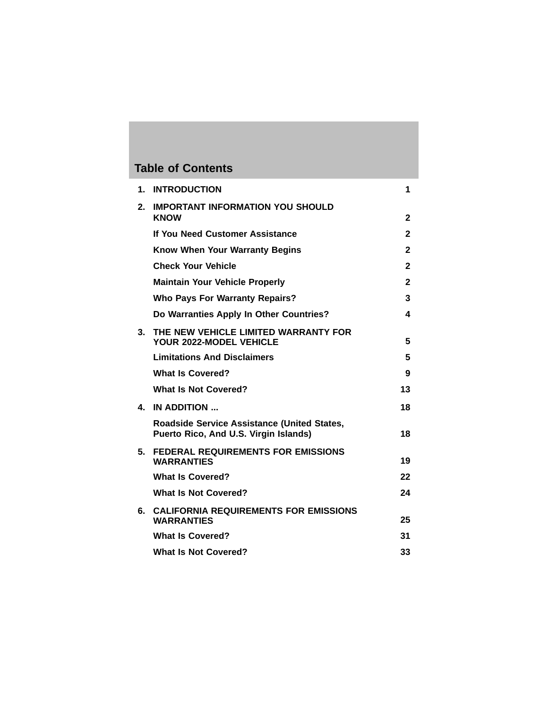# **Table of Contents**

| 1. | <b>INTRODUCTION</b>                                                                  | 1            |
|----|--------------------------------------------------------------------------------------|--------------|
| 2. | <b>IMPORTANT INFORMATION YOU SHOULD</b><br><b>KNOW</b>                               | 2            |
|    | If You Need Customer Assistance                                                      | $\mathbf{2}$ |
|    | Know When Your Warranty Begins                                                       | 2            |
|    | <b>Check Your Vehicle</b>                                                            | $\mathbf{2}$ |
|    | <b>Maintain Your Vehicle Properly</b>                                                | 2            |
|    | <b>Who Pays For Warranty Repairs?</b>                                                | 3            |
|    | Do Warranties Apply In Other Countries?                                              | 4            |
| 3. | THE NEW VEHICLE LIMITED WARRANTY FOR<br>YOUR 2022-MODEL VEHICLE                      | 5            |
|    | <b>Limitations And Disclaimers</b>                                                   | 5            |
|    | <b>What Is Covered?</b>                                                              | 9            |
|    | <b>What Is Not Covered?</b>                                                          | 13           |
| 4. | IN ADDITION                                                                          | 18           |
|    | Roadside Service Assistance (United States,<br>Puerto Rico, And U.S. Virgin Islands) | 18           |
| 5. | <b>FEDERAL REQUIREMENTS FOR EMISSIONS</b><br><b>WARRANTIES</b>                       | 19           |
|    | <b>What Is Covered?</b>                                                              | 22           |
|    | <b>What Is Not Covered?</b>                                                          | 24           |
| 6. | <b>CALIFORNIA REQUIREMENTS FOR EMISSIONS</b><br><b>WARRANTIES</b>                    | 25           |
|    | <b>What Is Covered?</b>                                                              | 31           |
|    | <b>What Is Not Covered?</b>                                                          | 33           |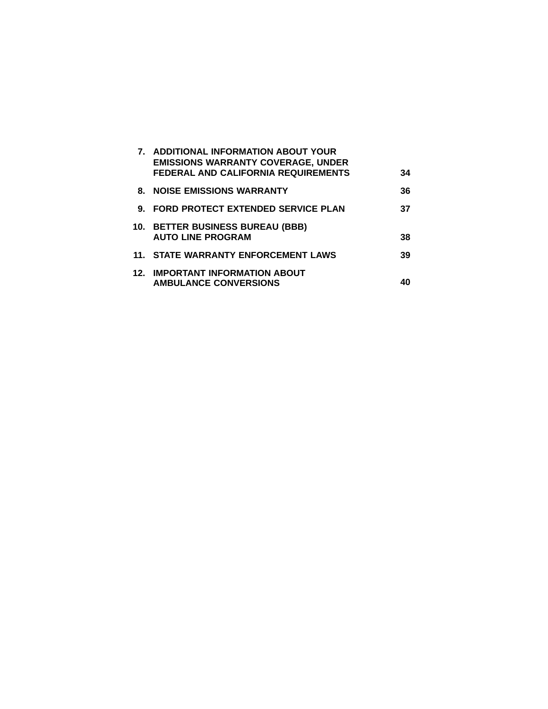|    | 7. ADDITIONAL INFORMATION ABOUT YOUR<br><b>EMISSIONS WARRANTY COVERAGE, UNDER</b><br><b>FEDERAL AND CALIFORNIA REQUIREMENTS</b> | 34 |
|----|---------------------------------------------------------------------------------------------------------------------------------|----|
|    | <b>8. NOISE EMISSIONS WARRANTY</b>                                                                                              | 36 |
| 9. | <b>FORD PROTECT EXTENDED SERVICE PLAN</b>                                                                                       | 37 |
|    | 10. BETTER BUSINESS BUREAU (BBB)<br><b>AUTO LINE PROGRAM</b>                                                                    | 38 |
|    | 11. STATE WARRANTY ENFORCEMENT LAWS                                                                                             | 39 |
|    | <b>12. IMPORTANT INFORMATION ABOUT</b><br><b>AMBULANCE CONVERSIONS</b>                                                          |    |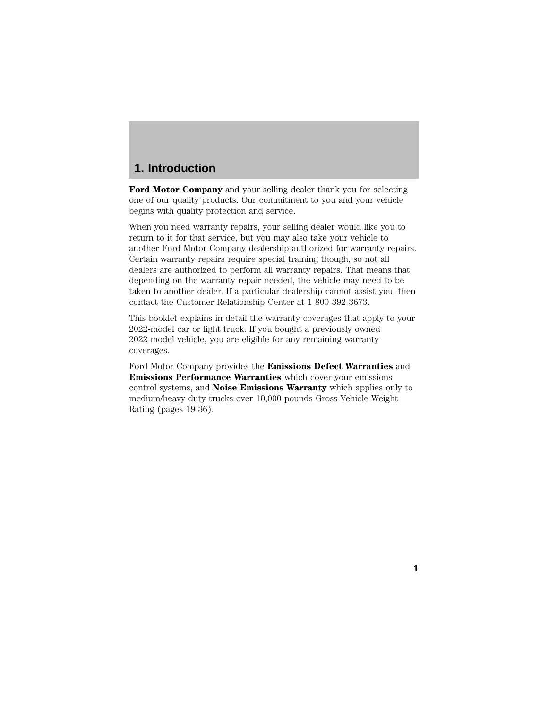# **1. Introduction**

**Ford Motor Company** and your selling dealer thank you for selecting one of our quality products. Our commitment to you and your vehicle begins with quality protection and service.

When you need warranty repairs, your selling dealer would like you to return to it for that service, but you may also take your vehicle to another Ford Motor Company dealership authorized for warranty repairs. Certain warranty repairs require special training though, so not all dealers are authorized to perform all warranty repairs. That means that, depending on the warranty repair needed, the vehicle may need to be taken to another dealer. If a particular dealership cannot assist you, then contact the Customer Relationship Center at 1-800-392-3673.

This booklet explains in detail the warranty coverages that apply to your 2022-model car or light truck. If you bought a previously owned 2022-model vehicle, you are eligible for any remaining warranty coverages.

Ford Motor Company provides the **Emissions Defect Warranties** and **Emissions Performance Warranties** which cover your emissions control systems, and **Noise Emissions Warranty** which applies only to medium/heavy duty trucks over 10,000 pounds Gross Vehicle Weight Rating (pages 19-36).

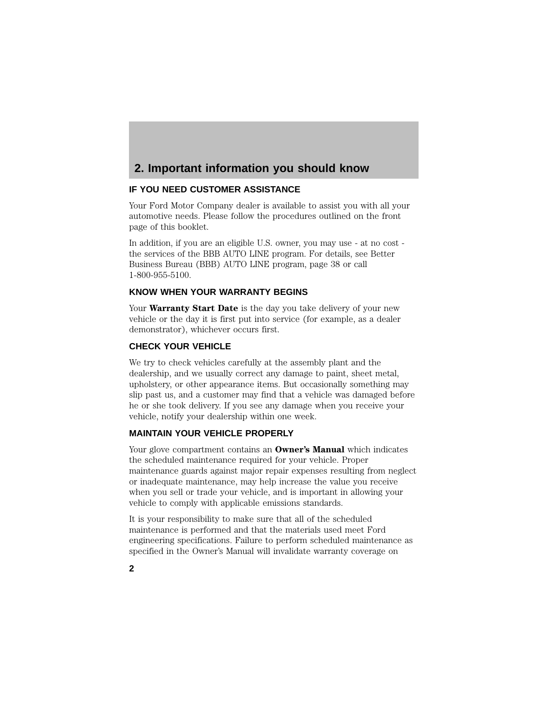# **2. Important information you should know**

## **IF YOU NEED CUSTOMER ASSISTANCE**

Your Ford Motor Company dealer is available to assist you with all your automotive needs. Please follow the procedures outlined on the front page of this booklet.

In addition, if you are an eligible U.S. owner, you may use - at no cost the services of the BBB AUTO LINE program. For details, see Better Business Bureau (BBB) AUTO LINE program, page 38 or call 1-800-955-5100.

# **KNOW WHEN YOUR WARRANTY BEGINS**

Your **Warranty Start Date** is the day you take delivery of your new vehicle or the day it is first put into service (for example, as a dealer demonstrator), whichever occurs first.

### **CHECK YOUR VEHICLE**

We try to check vehicles carefully at the assembly plant and the dealership, and we usually correct any damage to paint, sheet metal, upholstery, or other appearance items. But occasionally something may slip past us, and a customer may find that a vehicle was damaged before he or she took delivery. If you see any damage when you receive your vehicle, notify your dealership within one week.

## **MAINTAIN YOUR VEHICLE PROPERLY**

Your glove compartment contains an **Owner's Manual** which indicates the scheduled maintenance required for your vehicle. Proper maintenance guards against major repair expenses resulting from neglect or inadequate maintenance, may help increase the value you receive when you sell or trade your vehicle, and is important in allowing your vehicle to comply with applicable emissions standards.

It is your responsibility to make sure that all of the scheduled maintenance is performed and that the materials used meet Ford engineering specifications. Failure to perform scheduled maintenance as specified in the Owner's Manual will invalidate warranty coverage on

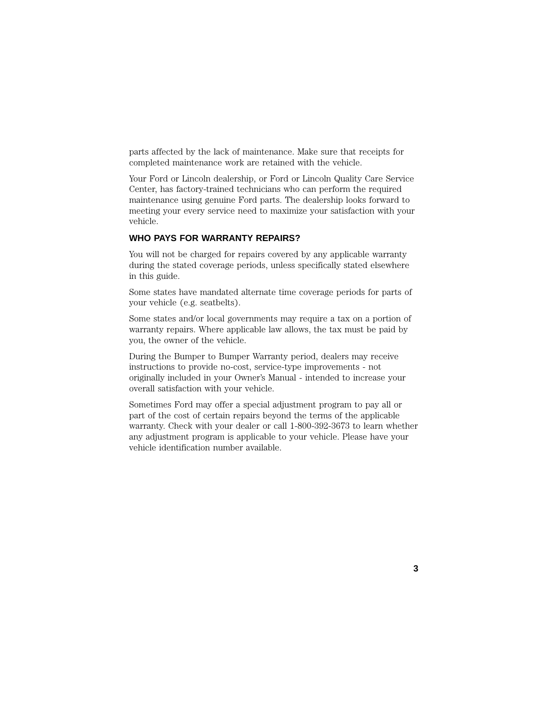parts affected by the lack of maintenance. Make sure that receipts for completed maintenance work are retained with the vehicle.

Your Ford or Lincoln dealership, or Ford or Lincoln Quality Care Service Center, has factory-trained technicians who can perform the required maintenance using genuine Ford parts. The dealership looks forward to meeting your every service need to maximize your satisfaction with your vehicle.

### **WHO PAYS FOR WARRANTY REPAIRS?**

You will not be charged for repairs covered by any applicable warranty during the stated coverage periods, unless specifically stated elsewhere in this guide.

Some states have mandated alternate time coverage periods for parts of your vehicle (e.g. seatbelts).

Some states and/or local governments may require a tax on a portion of warranty repairs. Where applicable law allows, the tax must be paid by you, the owner of the vehicle.

During the Bumper to Bumper Warranty period, dealers may receive instructions to provide no-cost, service-type improvements - not originally included in your Owner's Manual - intended to increase your overall satisfaction with your vehicle.

Sometimes Ford may offer a special adjustment program to pay all or part of the cost of certain repairs beyond the terms of the applicable warranty. Check with your dealer or call 1-800-392-3673 to learn whether any adjustment program is applicable to your vehicle. Please have your vehicle identification number available.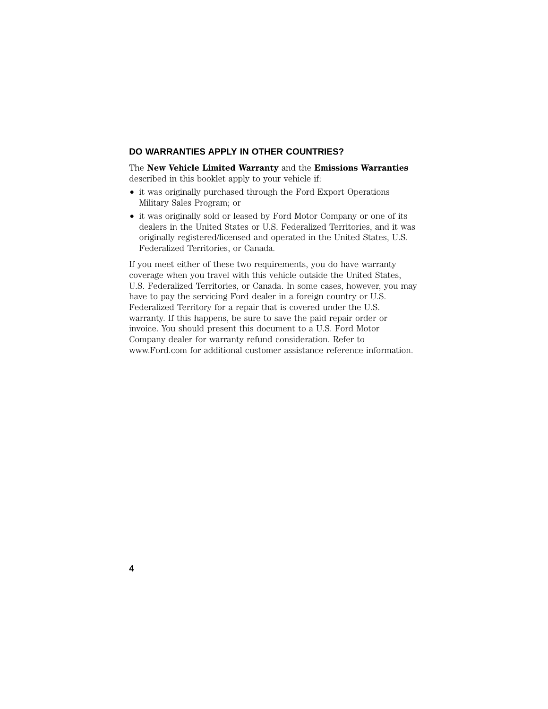#### **DO WARRANTIES APPLY IN OTHER COUNTRIES?**

The **New Vehicle Limited Warranty** and the **Emissions Warranties** described in this booklet apply to your vehicle if:

- it was originally purchased through the Ford Export Operations Military Sales Program; or
- it was originally sold or leased by Ford Motor Company or one of its dealers in the United States or U.S. Federalized Territories, and it was originally registered/licensed and operated in the United States, U.S. Federalized Territories, or Canada.

If you meet either of these two requirements, you do have warranty coverage when you travel with this vehicle outside the United States, U.S. Federalized Territories, or Canada. In some cases, however, you may have to pay the servicing Ford dealer in a foreign country or U.S. Federalized Territory for a repair that is covered under the U.S. warranty. If this happens, be sure to save the paid repair order or invoice. You should present this document to a U.S. Ford Motor Company dealer for warranty refund consideration. Refer to www.Ford.com for additional customer assistance reference information.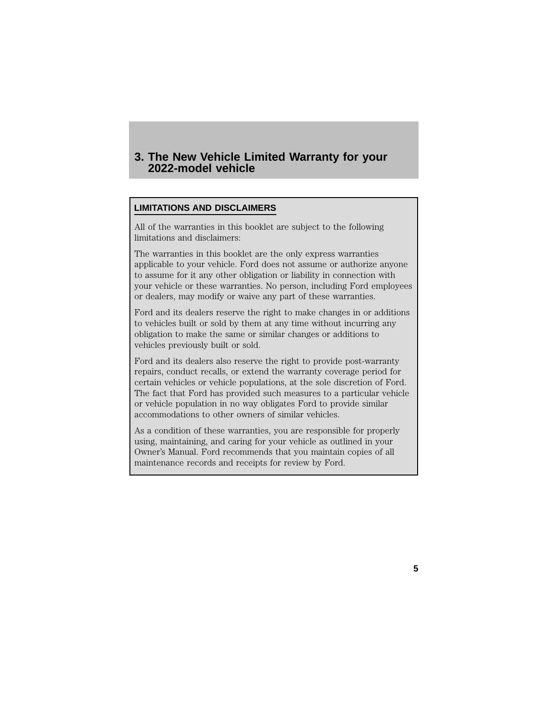# **3. The New Vehicle Limited Warranty for your 2022-model vehicle**

## **LIMITATIONS AND DISCLAIMERS**

All of the warranties in this booklet are subject to the following limitations and disclaimers:

The warranties in this booklet are the only express warranties applicable to your vehicle. Ford does not assume or authorize anyone to assume for it any other obligation or liability in connection with your vehicle or these warranties. No person, including Ford employees or dealers, may modify or waive any part of these warranties.

Ford and its dealers reserve the right to make changes in or additions to vehicles built or sold by them at any time without incurring any obligation to make the same or similar changes or additions to vehicles previously built or sold.

Ford and its dealers also reserve the right to provide post-warranty repairs, conduct recalls, or extend the warranty coverage period for certain vehicles or vehicle populations, at the sole discretion of Ford. The fact that Ford has provided such measures to a particular vehicle or vehicle population in no way obligates Ford to provide similar accommodations to other owners of similar vehicles.

As a condition of these warranties, you are responsible for properly using, maintaining, and caring for your vehicle as outlined in your Owner's Manual. Ford recommends that you maintain copies of all maintenance records and receipts for review by Ford.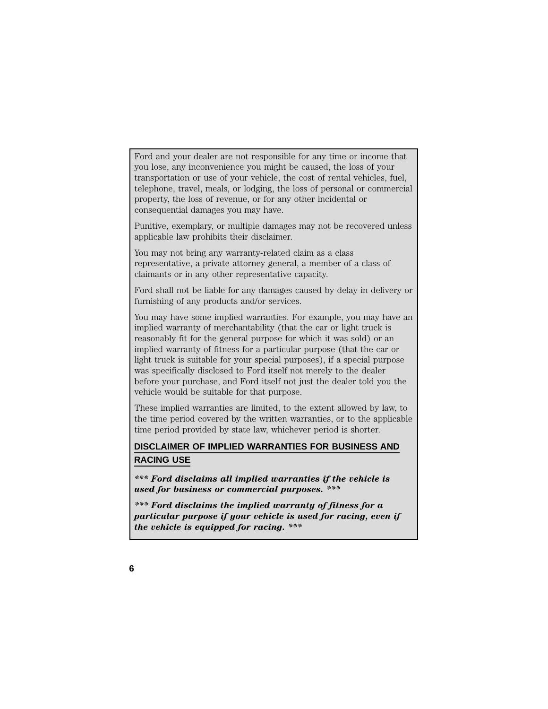Ford and your dealer are not responsible for any time or income that you lose, any inconvenience you might be caused, the loss of your transportation or use of your vehicle, the cost of rental vehicles, fuel, telephone, travel, meals, or lodging, the loss of personal or commercial property, the loss of revenue, or for any other incidental or consequential damages you may have.

Punitive, exemplary, or multiple damages may not be recovered unless applicable law prohibits their disclaimer.

You may not bring any warranty-related claim as a class representative, a private attorney general, a member of a class of claimants or in any other representative capacity.

Ford shall not be liable for any damages caused by delay in delivery or furnishing of any products and/or services.

You may have some implied warranties. For example, you may have an implied warranty of merchantability (that the car or light truck is reasonably fit for the general purpose for which it was sold) or an implied warranty of fitness for a particular purpose (that the car or light truck is suitable for your special purposes), if a special purpose was specifically disclosed to Ford itself not merely to the dealer before your purchase, and Ford itself not just the dealer told you the vehicle would be suitable for that purpose.

These implied warranties are limited, to the extent allowed by law, to the time period covered by the written warranties, or to the applicable time period provided by state law, whichever period is shorter.

# **DISCLAIMER OF IMPLIED WARRANTIES FOR BUSINESS AND RACING USE**

*\*\*\* Ford disclaims all implied warranties if the vehicle is used for business or commercial purposes. \*\*\**

*\*\*\* Ford disclaims the implied warranty of fitness for a particular purpose if your vehicle is used for racing, even if the vehicle is equipped for racing. \*\*\**

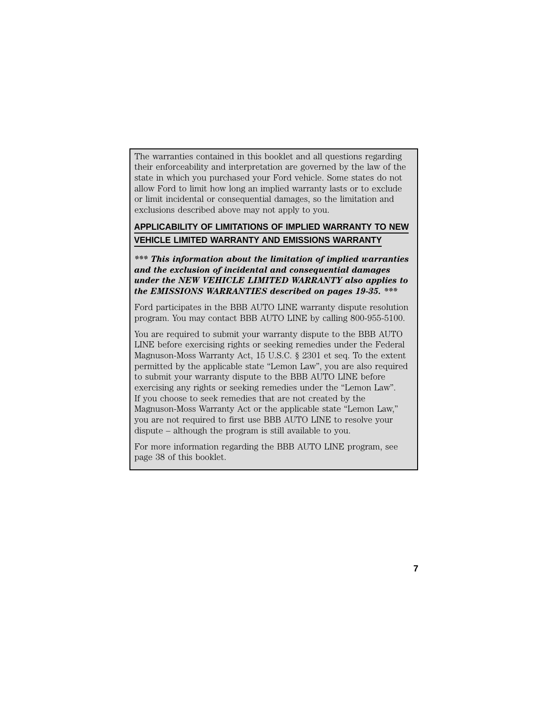The warranties contained in this booklet and all questions regarding their enforceability and interpretation are governed by the law of the state in which you purchased your Ford vehicle. Some states do not allow Ford to limit how long an implied warranty lasts or to exclude or limit incidental or consequential damages, so the limitation and exclusions described above may not apply to you.

# **APPLICABILITY OF LIMITATIONS OF IMPLIED WARRANTY TO NEW VEHICLE LIMITED WARRANTY AND EMISSIONS WARRANTY**

*\*\*\* This information about the limitation of implied warranties and the exclusion of incidental and consequential damages under the NEW VEHICLE LIMITED WARRANTY also applies to the EMISSIONS WARRANTIES described on pages 19-35. \*\*\**

Ford participates in the BBB AUTO LINE warranty dispute resolution program. You may contact BBB AUTO LINE by calling 800-955-5100.

You are required to submit your warranty dispute to the BBB AUTO LINE before exercising rights or seeking remedies under the Federal Magnuson-Moss Warranty Act, 15 U.S.C. § 2301 et seq. To the extent permitted by the applicable state ''Lemon Law'', you are also required to submit your warranty dispute to the BBB AUTO LINE before exercising any rights or seeking remedies under the "Lemon Law". If you choose to seek remedies that are not created by the Magnuson-Moss Warranty Act or the applicable state ''Lemon Law,'' you are not required to first use BBB AUTO LINE to resolve your dispute – although the program is still available to you.

For more information regarding the BBB AUTO LINE program, see page 38 of this booklet.

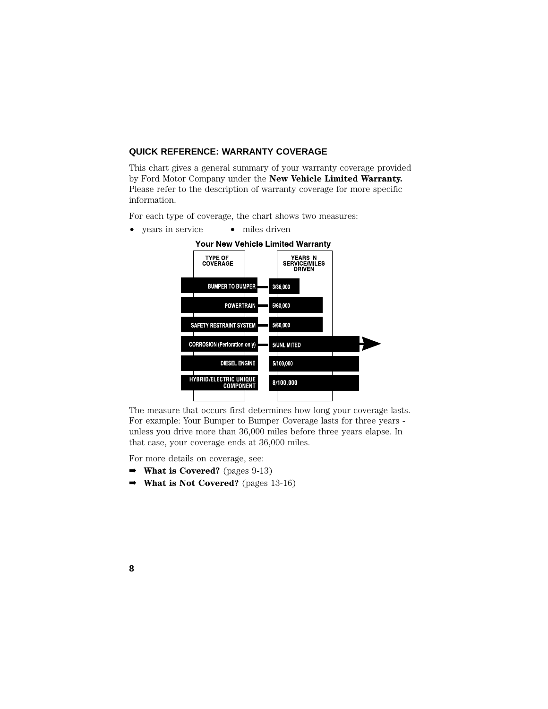#### **QUICK REFERENCE: WARRANTY COVERAGE**

This chart gives a general summary of your warranty coverage provided by Ford Motor Company under the **New Vehicle Limited Warranty.** Please refer to the description of warranty coverage for more specific information.

For each type of coverage, the chart shows two measures:

• years in service • miles driven



The measure that occurs first determines how long your coverage lasts. For example: Your Bumper to Bumper Coverage lasts for three years unless you drive more than 36,000 miles before three years elapse. In that case, your coverage ends at 36,000 miles.

For more details on coverage, see:

- ➡ **What is Covered?** (pages 9-13)
- ➡ **What is Not Covered?** (pages 13-16)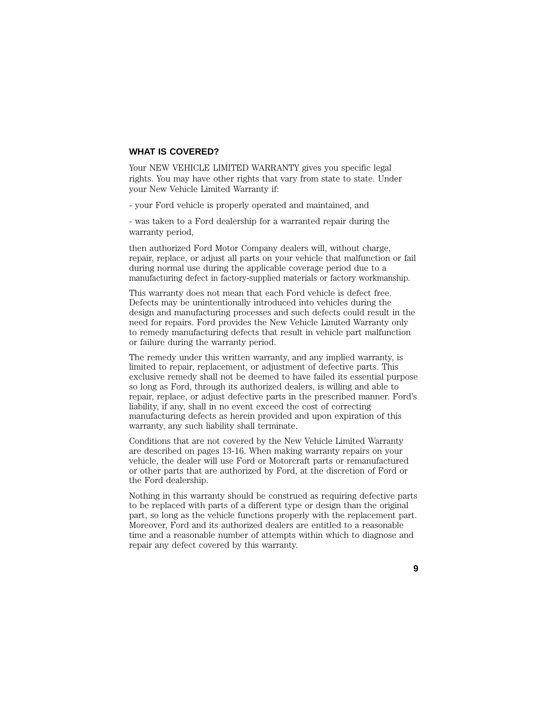#### **WHAT IS COVERED?**

Your NEW VEHICLE LIMITED WARRANTY gives you specific legal rights. You may have other rights that vary from state to state. Under your New Vehicle Limited Warranty if:

- your Ford vehicle is properly operated and maintained, and

- was taken to a Ford dealership for a warranted repair during the warranty period,

then authorized Ford Motor Company dealers will, without charge, repair, replace, or adjust all parts on your vehicle that malfunction or fail during normal use during the applicable coverage period due to a manufacturing defect in factory-supplied materials or factory workmanship.

This warranty does not mean that each Ford vehicle is defect free. Defects may be unintentionally introduced into vehicles during the design and manufacturing processes and such defects could result in the need for repairs. Ford provides the New Vehicle Limited Warranty only to remedy manufacturing defects that result in vehicle part malfunction or failure during the warranty period.

The remedy under this written warranty, and any implied warranty, is limited to repair, replacement, or adjustment of defective parts. This exclusive remedy shall not be deemed to have failed its essential purpose so long as Ford, through its authorized dealers, is willing and able to repair, replace, or adjust defective parts in the prescribed manner. Ford's liability, if any, shall in no event exceed the cost of correcting manufacturing defects as herein provided and upon expiration of this warranty, any such liability shall terminate.

Conditions that are not covered by the New Vehicle Limited Warranty are described on pages 13-16. When making warranty repairs on your vehicle, the dealer will use Ford or Motorcraft parts or remanufactured or other parts that are authorized by Ford, at the discretion of Ford or the Ford dealership.

Nothing in this warranty should be construed as requiring defective parts to be replaced with parts of a different type or design than the original part, so long as the vehicle functions properly with the replacement part. Moreover, Ford and its authorized dealers are entitled to a reasonable time and a reasonable number of attempts within which to diagnose and repair any defect covered by this warranty.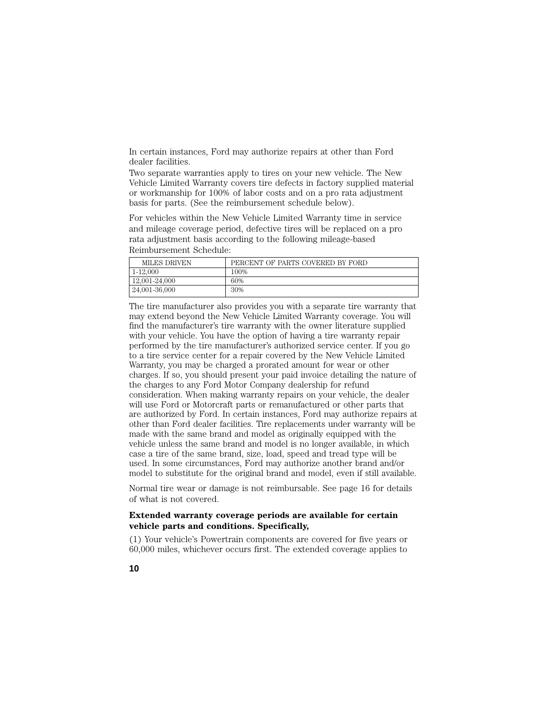In certain instances, Ford may authorize repairs at other than Ford dealer facilities.

Two separate warranties apply to tires on your new vehicle. The New Vehicle Limited Warranty covers tire defects in factory supplied material or workmanship for 100% of labor costs and on a pro rata adjustment basis for parts. (See the reimbursement schedule below).

For vehicles within the New Vehicle Limited Warranty time in service and mileage coverage period, defective tires will be replaced on a pro rata adjustment basis according to the following mileage-based Reimbursement Schedule:

| MILES DRIVEN  | PERCENT OF PARTS COVERED BY FORD |
|---------------|----------------------------------|
| 1-12.000      | 100%                             |
| 12.001-24.000 | 60%                              |
| 24,001-36,000 | 30%                              |

The tire manufacturer also provides you with a separate tire warranty that may extend beyond the New Vehicle Limited Warranty coverage. You will find the manufacturer's tire warranty with the owner literature supplied with your vehicle. You have the option of having a tire warranty repair performed by the tire manufacturer's authorized service center. If you go to a tire service center for a repair covered by the New Vehicle Limited Warranty, you may be charged a prorated amount for wear or other charges. If so, you should present your paid invoice detailing the nature of the charges to any Ford Motor Company dealership for refund consideration. When making warranty repairs on your vehicle, the dealer will use Ford or Motorcraft parts or remanufactured or other parts that are authorized by Ford. In certain instances, Ford may authorize repairs at other than Ford dealer facilities. Tire replacements under warranty will be made with the same brand and model as originally equipped with the vehicle unless the same brand and model is no longer available, in which case a tire of the same brand, size, load, speed and tread type will be used. In some circumstances, Ford may authorize another brand and/or model to substitute for the original brand and model, even if still available.

Normal tire wear or damage is not reimbursable. See page 16 for details of what is not covered.

#### **Extended warranty coverage periods are available for certain vehicle parts and conditions. Specifically,**

(1) Your vehicle's Powertrain components are covered for five years or 60,000 miles, whichever occurs first. The extended coverage applies to

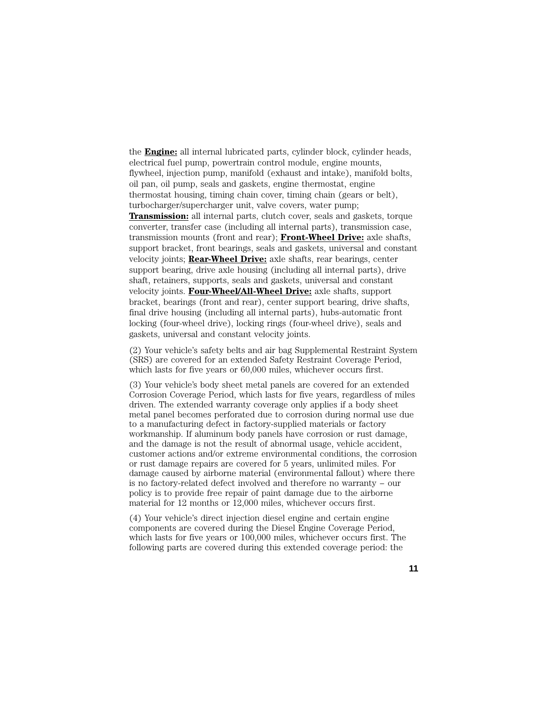the **Engine:** all internal lubricated parts, cylinder block, cylinder heads, electrical fuel pump, powertrain control module, engine mounts, flywheel, injection pump, manifold (exhaust and intake), manifold bolts, oil pan, oil pump, seals and gaskets, engine thermostat, engine thermostat housing, timing chain cover, timing chain (gears or belt), turbocharger/supercharger unit, valve covers, water pump; **Transmission:** all internal parts, clutch cover, seals and gaskets, torque converter, transfer case (including all internal parts), transmission case, transmission mounts (front and rear); **Front-Wheel Drive:** axle shafts, support bracket, front bearings, seals and gaskets, universal and constant velocity joints; **Rear-Wheel Drive:** axle shafts, rear bearings, center support bearing, drive axle housing (including all internal parts), drive shaft, retainers, supports, seals and gaskets, universal and constant velocity joints. **Four-Wheel/All-Wheel Drive:** axle shafts, support bracket, bearings (front and rear), center support bearing, drive shafts, final drive housing (including all internal parts), hubs-automatic front locking (four-wheel drive), locking rings (four-wheel drive), seals and gaskets, universal and constant velocity joints.

(2) Your vehicle's safety belts and air bag Supplemental Restraint System (SRS) are covered for an extended Safety Restraint Coverage Period, which lasts for five years or 60,000 miles, whichever occurs first.

(3) Your vehicle's body sheet metal panels are covered for an extended Corrosion Coverage Period, which lasts for five years, regardless of miles driven. The extended warranty coverage only applies if a body sheet metal panel becomes perforated due to corrosion during normal use due to a manufacturing defect in factory-supplied materials or factory workmanship. If aluminum body panels have corrosion or rust damage, and the damage is not the result of abnormal usage, vehicle accident, customer actions and/or extreme environmental conditions, the corrosion or rust damage repairs are covered for 5 years, unlimited miles. For damage caused by airborne material (environmental fallout) where there is no factory-related defect involved and therefore no warranty − our policy is to provide free repair of paint damage due to the airborne material for 12 months or 12,000 miles, whichever occurs first.

(4) Your vehicle's direct injection diesel engine and certain engine components are covered during the Diesel Engine Coverage Period, which lasts for five years or 100,000 miles, whichever occurs first. The following parts are covered during this extended coverage period: the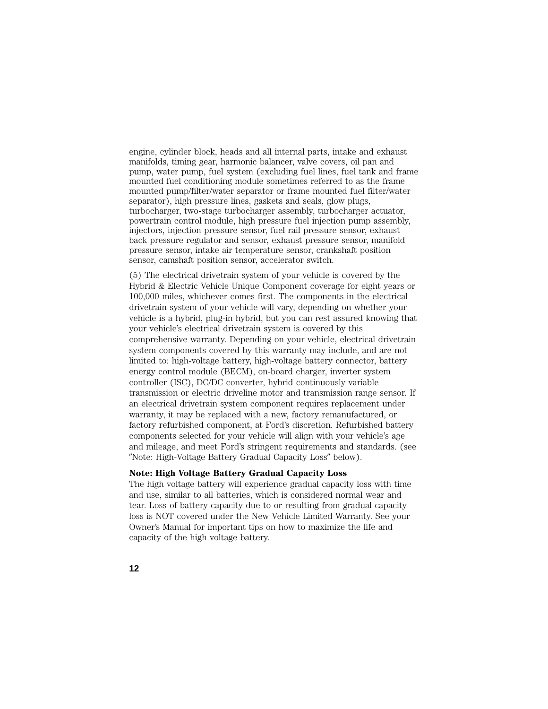engine, cylinder block, heads and all internal parts, intake and exhaust manifolds, timing gear, harmonic balancer, valve covers, oil pan and pump, water pump, fuel system (excluding fuel lines, fuel tank and frame mounted fuel conditioning module sometimes referred to as the frame mounted pump/filter/water separator or frame mounted fuel filter/water separator), high pressure lines, gaskets and seals, glow plugs, turbocharger, two-stage turbocharger assembly, turbocharger actuator, powertrain control module, high pressure fuel injection pump assembly, injectors, injection pressure sensor, fuel rail pressure sensor, exhaust back pressure regulator and sensor, exhaust pressure sensor, manifold pressure sensor, intake air temperature sensor, crankshaft position sensor, camshaft position sensor, accelerator switch.

(5) The electrical drivetrain system of your vehicle is covered by the Hybrid & Electric Vehicle Unique Component coverage for eight years or 100,000 miles, whichever comes first. The components in the electrical drivetrain system of your vehicle will vary, depending on whether your vehicle is a hybrid, plug-in hybrid, but you can rest assured knowing that your vehicle's electrical drivetrain system is covered by this comprehensive warranty. Depending on your vehicle, electrical drivetrain system components covered by this warranty may include, and are not limited to: high-voltage battery, high-voltage battery connector, battery energy control module (BECM), on-board charger, inverter system controller (ISC), DC/DC converter, hybrid continuously variable transmission or electric driveline motor and transmission range sensor. If an electrical drivetrain system component requires replacement under warranty, it may be replaced with a new, factory remanufactured, or factory refurbished component, at Ford's discretion. Refurbished battery components selected for your vehicle will align with your vehicle's age and mileage, and meet Ford's stringent requirements and standards. (see "Note: High-Voltage Battery Gradual Capacity Loss" below).

#### **Note: High Voltage Battery Gradual Capacity Loss**

The high voltage battery will experience gradual capacity loss with time and use, similar to all batteries, which is considered normal wear and tear. Loss of battery capacity due to or resulting from gradual capacity loss is NOT covered under the New Vehicle Limited Warranty. See your Owner's Manual for important tips on how to maximize the life and capacity of the high voltage battery.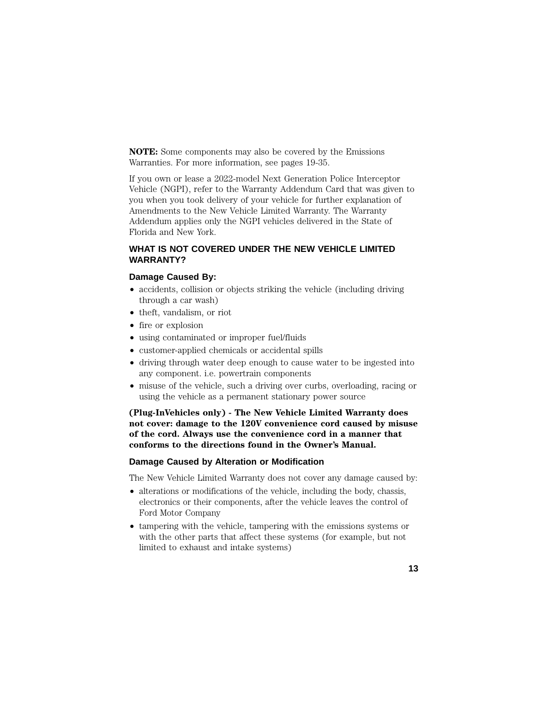**NOTE:** Some components may also be covered by the Emissions Warranties. For more information, see pages 19-35.

If you own or lease a 2022-model Next Generation Police Interceptor Vehicle (NGPI), refer to the Warranty Addendum Card that was given to you when you took delivery of your vehicle for further explanation of Amendments to the New Vehicle Limited Warranty. The Warranty Addendum applies only the NGPI vehicles delivered in the State of Florida and New York.

## **WHAT IS NOT COVERED UNDER THE NEW VEHICLE LIMITED WARRANTY?**

#### **Damage Caused By:**

- accidents, collision or objects striking the vehicle (including driving through a car wash)
- theft, vandalism, or riot
- fire or explosion
- using contaminated or improper fuel/fluids
- customer-applied chemicals or accidental spills
- driving through water deep enough to cause water to be ingested into any component. i.e. powertrain components
- misuse of the vehicle, such a driving over curbs, overloading, racing or using the vehicle as a permanent stationary power source

**(Plug-InVehicles only) - The New Vehicle Limited Warranty does not cover: damage to the 120V convenience cord caused by misuse of the cord. Always use the convenience cord in a manner that conforms to the directions found in the Owner's Manual.**

#### **Damage Caused by Alteration or Modification**

The New Vehicle Limited Warranty does not cover any damage caused by:

- alterations or modifications of the vehicle, including the body, chassis, electronics or their components, after the vehicle leaves the control of Ford Motor Company
- tampering with the vehicle, tampering with the emissions systems or with the other parts that affect these systems (for example, but not limited to exhaust and intake systems)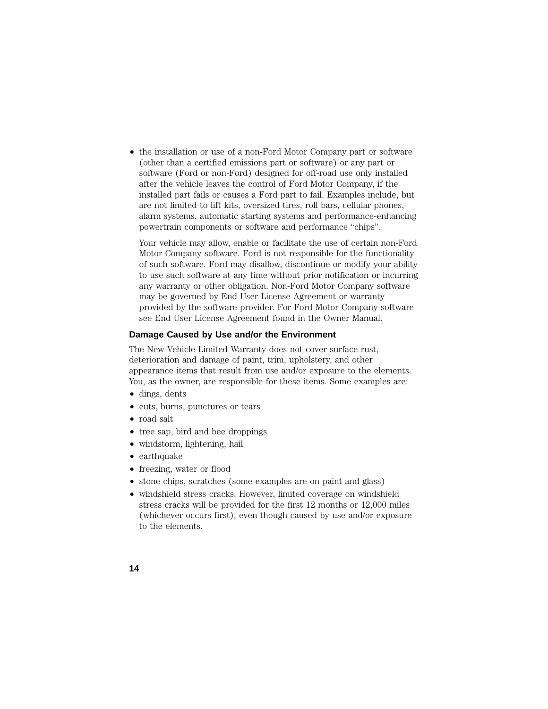• the installation or use of a non-Ford Motor Company part or software (other than a certified emissions part or software) or any part or software (Ford or non-Ford) designed for off-road use only installed after the vehicle leaves the control of Ford Motor Company, if the installed part fails or causes a Ford part to fail. Examples include, but are not limited to lift kits, oversized tires, roll bars, cellular phones, alarm systems, automatic starting systems and performance-enhancing powertrain components or software and performance "chips".

Your vehicle may allow, enable or facilitate the use of certain non-Ford Motor Company software. Ford is not responsible for the functionality of such software. Ford may disallow, discontinue or modify your ability to use such software at any time without prior notification or incurring any warranty or other obligation. Non-Ford Motor Company software may be governed by End User License Agreement or warranty provided by the software provider. For Ford Motor Company software see End User License Agreement found in the Owner Manual.

#### **Damage Caused by Use and/or the Environment**

The New Vehicle Limited Warranty does not cover surface rust, deterioration and damage of paint, trim, upholstery, and other appearance items that result from use and/or exposure to the elements. You, as the owner, are responsible for these items. Some examples are:

- dings, dents
- cuts, burns, punctures or tears
- road salt
- tree sap, bird and bee droppings
- windstorm, lightening, hail
- earthquake
- freezing, water or flood
- stone chips, scratches (some examples are on paint and glass)
- windshield stress cracks. However, limited coverage on windshield stress cracks will be provided for the first 12 months or 12,000 miles (whichever occurs first), even though caused by use and/or exposure to the elements.
- **14**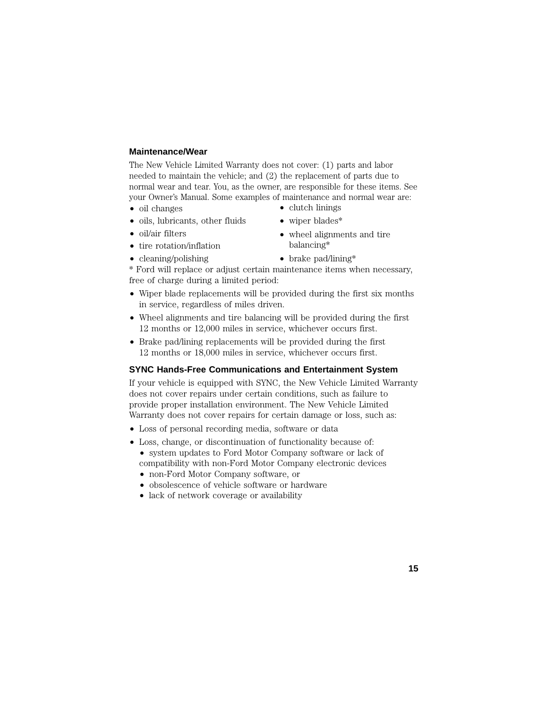#### **Maintenance/Wear**

The New Vehicle Limited Warranty does not cover: (1) parts and labor needed to maintain the vehicle; and (2) the replacement of parts due to normal wear and tear. You, as the owner, are responsible for these items. See your Owner's Manual. Some examples of maintenance and normal wear are:

- oil changes
- oils, lubricants, other fluids
- oil/air filters
- tire rotation/inflation
- cleaning/polishing
- brake pad/lining\*

\* Ford will replace or adjust certain maintenance items when necessary, free of charge during a limited period:

- Wiper blade replacements will be provided during the first six months in service, regardless of miles driven.
- Wheel alignments and tire balancing will be provided during the first 12 months or 12,000 miles in service, whichever occurs first.
- Brake pad/lining replacements will be provided during the first 12 months or 18,000 miles in service, whichever occurs first.

#### **SYNC Hands-Free Communications and Entertainment System**

If your vehicle is equipped with SYNC, the New Vehicle Limited Warranty does not cover repairs under certain conditions, such as failure to provide proper installation environment. The New Vehicle Limited Warranty does not cover repairs for certain damage or loss, such as:

- Loss of personal recording media, software or data
- Loss, change, or discontinuation of functionality because of: • system updates to Ford Motor Company software or lack of compatibility with non-Ford Motor Company electronic devices
	- non-Ford Motor Company software, or
	- obsolescence of vehicle software or hardware
	- lack of network coverage or availability

**15**

• wiper blades\*

• clutch linings

- wheel alignments and tire balancing\*
-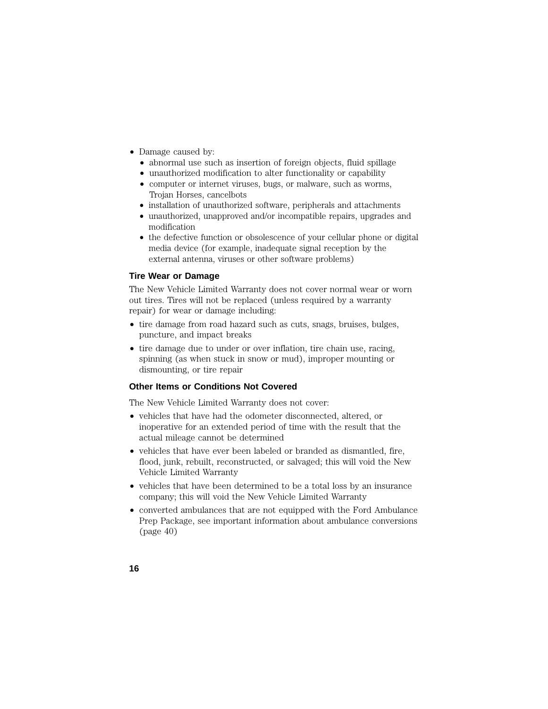- Damage caused by:
	- abnormal use such as insertion of foreign objects, fluid spillage
	- unauthorized modification to alter functionality or capability
	- computer or internet viruses, bugs, or malware, such as worms, Trojan Horses, cancelbots
	- installation of unauthorized software, peripherals and attachments
	- unauthorized, unapproved and/or incompatible repairs, upgrades and modification
	- the defective function or obsolescence of your cellular phone or digital media device (for example, inadequate signal reception by the external antenna, viruses or other software problems)

#### **Tire Wear or Damage**

The New Vehicle Limited Warranty does not cover normal wear or worn out tires. Tires will not be replaced (unless required by a warranty repair) for wear or damage including:

- tire damage from road hazard such as cuts, snags, bruises, bulges, puncture, and impact breaks
- tire damage due to under or over inflation, tire chain use, racing, spinning (as when stuck in snow or mud), improper mounting or dismounting, or tire repair

#### **Other Items or Conditions Not Covered**

The New Vehicle Limited Warranty does not cover:

- vehicles that have had the odometer disconnected, altered, or inoperative for an extended period of time with the result that the actual mileage cannot be determined
- vehicles that have ever been labeled or branded as dismantled, fire, flood, junk, rebuilt, reconstructed, or salvaged; this will void the New Vehicle Limited Warranty
- vehicles that have been determined to be a total loss by an insurance company; this will void the New Vehicle Limited Warranty
- converted ambulances that are not equipped with the Ford Ambulance Prep Package, see important information about ambulance conversions (page 40)

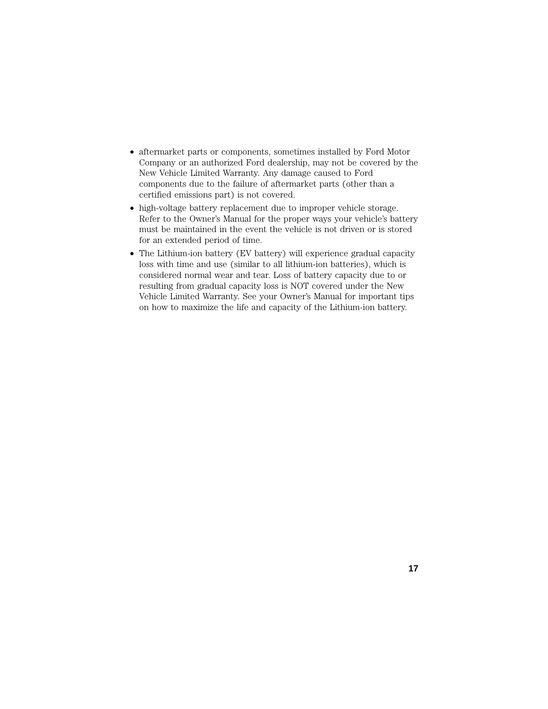- aftermarket parts or components, sometimes installed by Ford Motor Company or an authorized Ford dealership, may not be covered by the New Vehicle Limited Warranty. Any damage caused to Ford components due to the failure of aftermarket parts (other than a certified emissions part) is not covered.
- high-voltage battery replacement due to improper vehicle storage. Refer to the Owner's Manual for the proper ways your vehicle's battery must be maintained in the event the vehicle is not driven or is stored for an extended period of time.
- The Lithium-ion battery (EV battery) will experience gradual capacity loss with time and use (similar to all lithium-ion batteries), which is considered normal wear and tear. Loss of battery capacity due to or resulting from gradual capacity loss is NOT covered under the New Vehicle Limited Warranty. See your Owner's Manual for important tips on how to maximize the life and capacity of the Lithium-ion battery.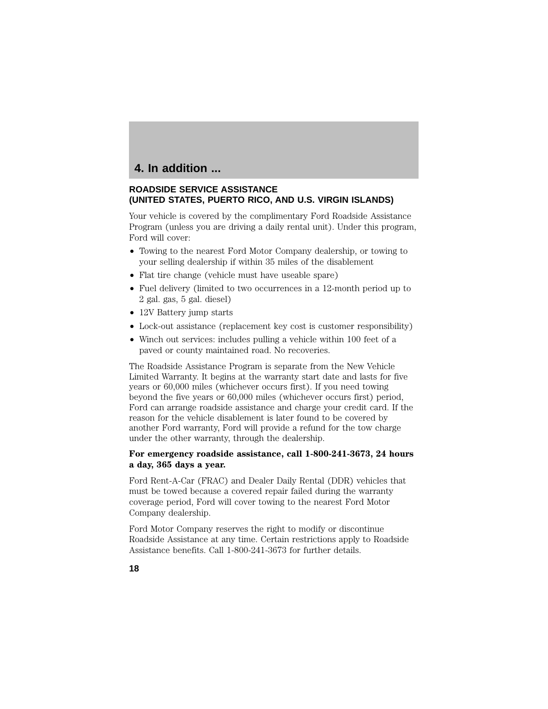# **4. In addition ...**

## **ROADSIDE SERVICE ASSISTANCE (UNITED STATES, PUERTO RICO, AND U.S. VIRGIN ISLANDS)**

Your vehicle is covered by the complimentary Ford Roadside Assistance Program (unless you are driving a daily rental unit). Under this program, Ford will cover:

- Towing to the nearest Ford Motor Company dealership, or towing to your selling dealership if within 35 miles of the disablement
- Flat tire change (vehicle must have useable spare)
- Fuel delivery (limited to two occurrences in a 12-month period up to 2 gal. gas, 5 gal. diesel)
- 12V Battery jump starts
- Lock-out assistance (replacement key cost is customer responsibility)
- Winch out services: includes pulling a vehicle within 100 feet of a paved or county maintained road. No recoveries.

The Roadside Assistance Program is separate from the New Vehicle Limited Warranty. It begins at the warranty start date and lasts for five years or 60,000 miles (whichever occurs first). If you need towing beyond the five years or 60,000 miles (whichever occurs first) period, Ford can arrange roadside assistance and charge your credit card. If the reason for the vehicle disablement is later found to be covered by another Ford warranty, Ford will provide a refund for the tow charge under the other warranty, through the dealership.

## **For emergency roadside assistance, call 1-800-241-3673, 24 hours a day, 365 days a year.**

Ford Rent-A-Car (FRAC) and Dealer Daily Rental (DDR) vehicles that must be towed because a covered repair failed during the warranty coverage period, Ford will cover towing to the nearest Ford Motor Company dealership.

Ford Motor Company reserves the right to modify or discontinue Roadside Assistance at any time. Certain restrictions apply to Roadside Assistance benefits. Call 1-800-241-3673 for further details.

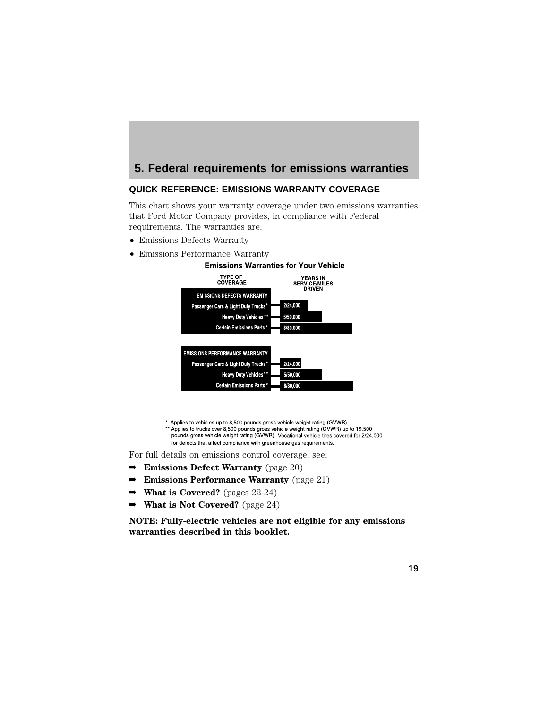# **5. Federal requirements for emissions warranties**

## **QUICK REFERENCE: EMISSIONS WARRANTY COVERAGE**

This chart shows your warranty coverage under two emissions warranties that Ford Motor Company provides, in compliance with Federal requirements. The warranties are:

- Emissions Defects Warranty
- 



\* Applies to vehicles up to 8,500 pounds gross vehicle weight rating (GVWR) Applies to venicies up to 8,500 pounds gross vehicle weight rating (GVWR) up to 19,500<br>Applies to trucks over 8,500 pounds gross vehicle weight rating (GVWR) up to 19,500<br>pounds gross vehicle weight rating (GVWR). Vocatio for defects that affect compliance with greenhouse gas requirements.

For full details on emissions control coverage, see:

- ➡ **Emissions Defect Warranty** (page 20)
- ➡ **Emissions Performance Warranty** (page 21)
- ➡ **What is Covered?** (pages 22-24)
- ➡ **What is Not Covered?** (page 24)

**NOTE: Fully-electric vehicles are not eligible for any emissions warranties described in this booklet.**

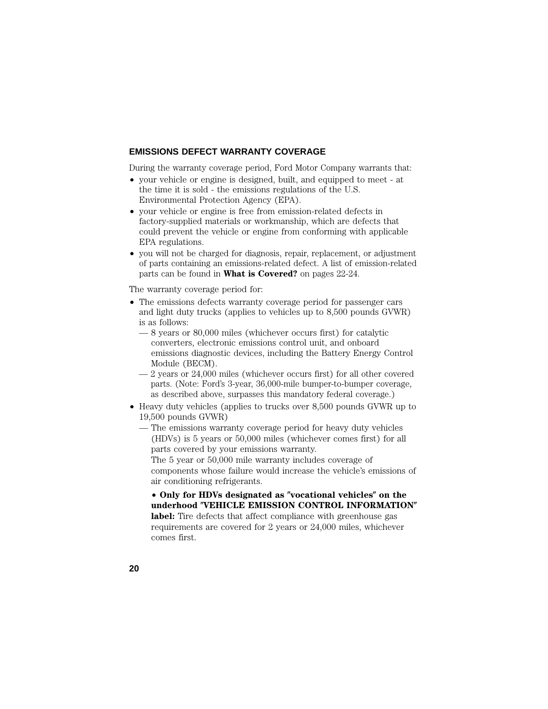#### **EMISSIONS DEFECT WARRANTY COVERAGE**

During the warranty coverage period, Ford Motor Company warrants that:

- your vehicle or engine is designed, built, and equipped to meet at the time it is sold - the emissions regulations of the U.S. Environmental Protection Agency (EPA).
- your vehicle or engine is free from emission-related defects in factory-supplied materials or workmanship, which are defects that could prevent the vehicle or engine from conforming with applicable EPA regulations.
- you will not be charged for diagnosis, repair, replacement, or adjustment of parts containing an emissions-related defect. A list of emission-related parts can be found in **What is Covered?** on pages 22-24.

The warranty coverage period for:

- The emissions defects warranty coverage period for passenger cars and light duty trucks (applies to vehicles up to 8,500 pounds GVWR) is as follows:
	- 8 years or 80,000 miles (whichever occurs first) for catalytic converters, electronic emissions control unit, and onboard emissions diagnostic devices, including the Battery Energy Control Module (BECM).
	- 2 years or 24,000 miles (whichever occurs first) for all other covered parts. (Note: Ford's 3-year, 36,000-mile bumper-to-bumper coverage, as described above, surpasses this mandatory federal coverage.)
- Heavy duty vehicles (applies to trucks over 8,500 pounds GVWR up to 19,500 pounds GVWR)
	- The emissions warranty coverage period for heavy duty vehicles (HDVs) is 5 years or 50,000 miles (whichever comes first) for all parts covered by your emissions warranty.

The 5 year or 50,000 mile warranty includes coverage of components whose failure would increase the vehicle's emissions of air conditioning refrigerants.

• **Only for HDVs designated as vocational vehicles on the underhood VEHICLE EMISSION CONTROL INFORMATION** label: Tire defects that affect compliance with greenhouse gas requirements are covered for 2 years or 24,000 miles, whichever comes first.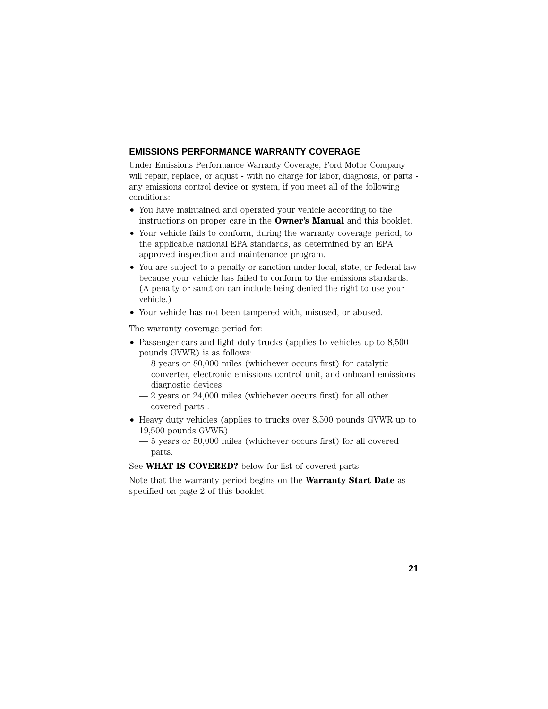#### **EMISSIONS PERFORMANCE WARRANTY COVERAGE**

Under Emissions Performance Warranty Coverage, Ford Motor Company will repair, replace, or adjust - with no charge for labor, diagnosis, or parts any emissions control device or system, if you meet all of the following conditions:

- You have maintained and operated your vehicle according to the instructions on proper care in the **Owner's Manual** and this booklet.
- Your vehicle fails to conform, during the warranty coverage period, to the applicable national EPA standards, as determined by an EPA approved inspection and maintenance program.
- You are subject to a penalty or sanction under local, state, or federal law because your vehicle has failed to conform to the emissions standards. (A penalty or sanction can include being denied the right to use your vehicle.)
- Your vehicle has not been tampered with, misused, or abused.

The warranty coverage period for:

- Passenger cars and light duty trucks (applies to vehicles up to 8,500 pounds GVWR) is as follows:
	- 8 years or 80,000 miles (whichever occurs first) for catalytic converter, electronic emissions control unit, and onboard emissions diagnostic devices.
	- 2 years or 24,000 miles (whichever occurs first) for all other covered parts .
- Heavy duty vehicles (applies to trucks over 8,500 pounds GVWR up to 19,500 pounds GVWR)
	- 5 years or 50,000 miles (whichever occurs first) for all covered parts.

See **WHAT IS COVERED?** below for list of covered parts.

Note that the warranty period begins on the **Warranty Start Date** as specified on page 2 of this booklet.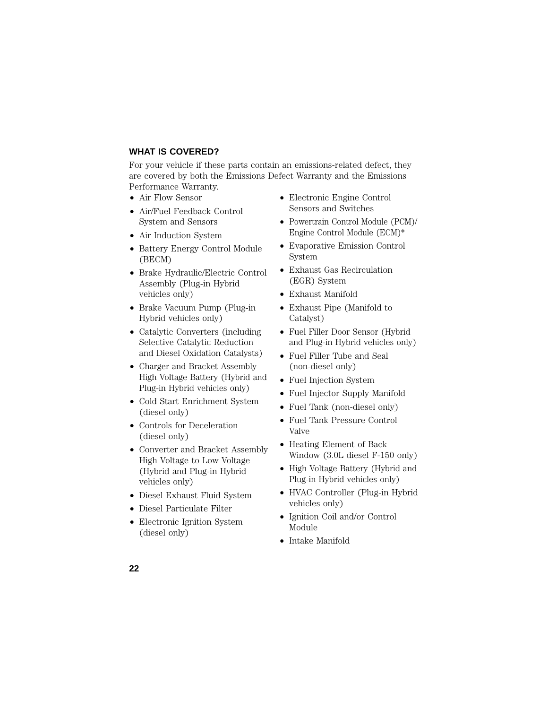## **WHAT IS COVERED?**

For your vehicle if these parts contain an emissions-related defect, they are covered by both the Emissions Defect Warranty and the Emissions Performance Warranty.

- Air Flow Sensor
- Air/Fuel Feedback Control System and Sensors
- Air Induction System
- Battery Energy Control Module (BECM)
- Brake Hydraulic/Electric Control Assembly (Plug-in Hybrid vehicles only)
- Brake Vacuum Pump (Plug-in Hybrid vehicles only)
- Catalytic Converters (including Selective Catalytic Reduction and Diesel Oxidation Catalysts)
- Charger and Bracket Assembly High Voltage Battery (Hybrid and Plug-in Hybrid vehicles only)
- Cold Start Enrichment System (diesel only)
- Controls for Deceleration (diesel only)
- Converter and Bracket Assembly High Voltage to Low Voltage (Hybrid and Plug-in Hybrid vehicles only)
- Diesel Exhaust Fluid System
- Diesel Particulate Filter
- Electronic Ignition System (diesel only)
- Electronic Engine Control Sensors and Switches
- Powertrain Control Module (PCM)/ Engine Control Module (ECM)\*
- Evaporative Emission Control System
- Exhaust Gas Recirculation (EGR) System
- Exhaust Manifold
- Exhaust Pipe (Manifold to Catalyst)
- Fuel Filler Door Sensor (Hybrid and Plug-in Hybrid vehicles only)
- Fuel Filler Tube and Seal (non-diesel only)
- Fuel Injection System
- Fuel Injector Supply Manifold
- Fuel Tank (non-diesel only)
- Fuel Tank Pressure Control Valve
- Heating Element of Back Window (3.0L diesel F-150 only)
- High Voltage Battery (Hybrid and Plug-in Hybrid vehicles only)
- HVAC Controller (Plug-in Hybrid vehicles only)
- Ignition Coil and/or Control Module
- Intake Manifold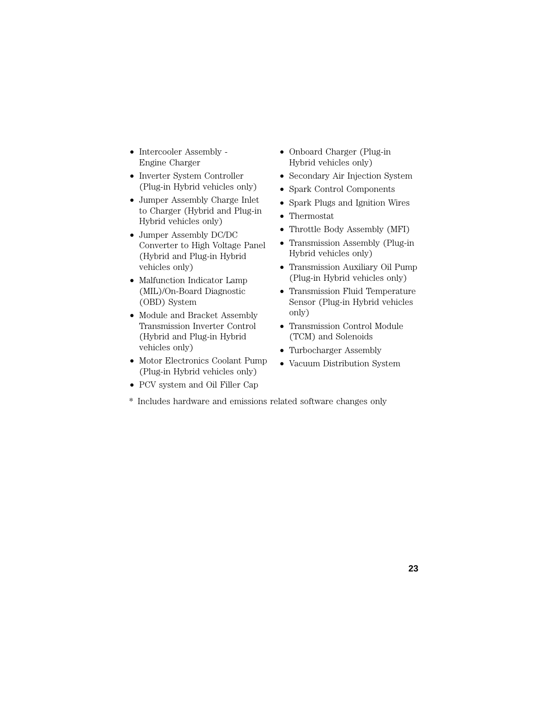- Intercooler Assembly Engine Charger
- Inverter System Controller (Plug-in Hybrid vehicles only)
- Jumper Assembly Charge Inlet to Charger (Hybrid and Plug-in Hybrid vehicles only)
- Jumper Assembly DC/DC Converter to High Voltage Panel (Hybrid and Plug-in Hybrid vehicles only)
- Malfunction Indicator Lamp (MIL)/On-Board Diagnostic (OBD) System
- Module and Bracket Assembly Transmission Inverter Control (Hybrid and Plug-in Hybrid vehicles only)
- Motor Electronics Coolant Pump (Plug-in Hybrid vehicles only)
- PCV system and Oil Filler Cap
- \* Includes hardware and emissions related software changes only
- Onboard Charger (Plug-in Hybrid vehicles only)
- Secondary Air Injection System
- Spark Control Components
- Spark Plugs and Ignition Wires
- Thermostat
- Throttle Body Assembly (MFI)
- Transmission Assembly (Plug-in Hybrid vehicles only)
- Transmission Auxiliary Oil Pump (Plug-in Hybrid vehicles only)
- Transmission Fluid Temperature Sensor (Plug-in Hybrid vehicles only)
- Transmission Control Module (TCM) and Solenoids
- Turbocharger Assembly
- Vacuum Distribution System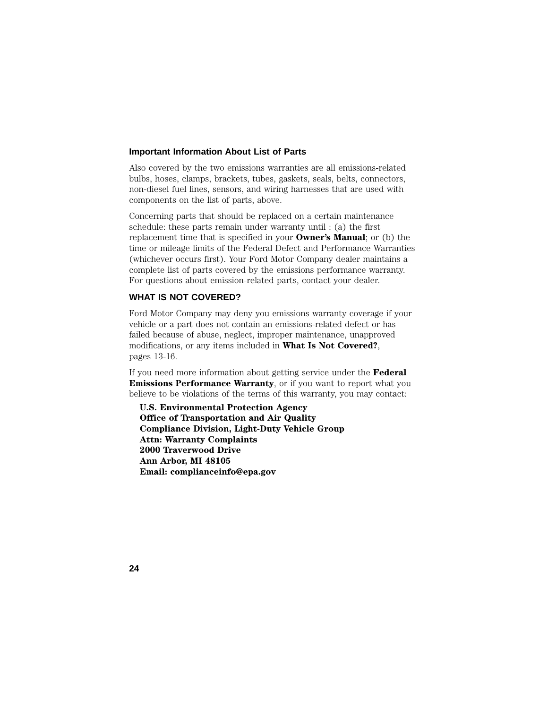#### **Important Information About List of Parts**

Also covered by the two emissions warranties are all emissions-related bulbs, hoses, clamps, brackets, tubes, gaskets, seals, belts, connectors, non-diesel fuel lines, sensors, and wiring harnesses that are used with components on the list of parts, above.

Concerning parts that should be replaced on a certain maintenance schedule: these parts remain under warranty until : (a) the first replacement time that is specified in your **Owner's Manual**; or (b) the time or mileage limits of the Federal Defect and Performance Warranties (whichever occurs first). Your Ford Motor Company dealer maintains a complete list of parts covered by the emissions performance warranty. For questions about emission-related parts, contact your dealer.

#### **WHAT IS NOT COVERED?**

Ford Motor Company may deny you emissions warranty coverage if your vehicle or a part does not contain an emissions-related defect or has failed because of abuse, neglect, improper maintenance, unapproved modifications, or any items included in **What Is Not Covered?**, pages 13-16.

If you need more information about getting service under the **Federal Emissions Performance Warranty**, or if you want to report what you believe to be violations of the terms of this warranty, you may contact:

**U.S. Environmental Protection Agency Office of Transportation and Air Quality Compliance Division, Light-Duty Vehicle Group Attn: Warranty Complaints 2000 Traverwood Drive Ann Arbor, MI 48105 Email: complianceinfo@epa.gov**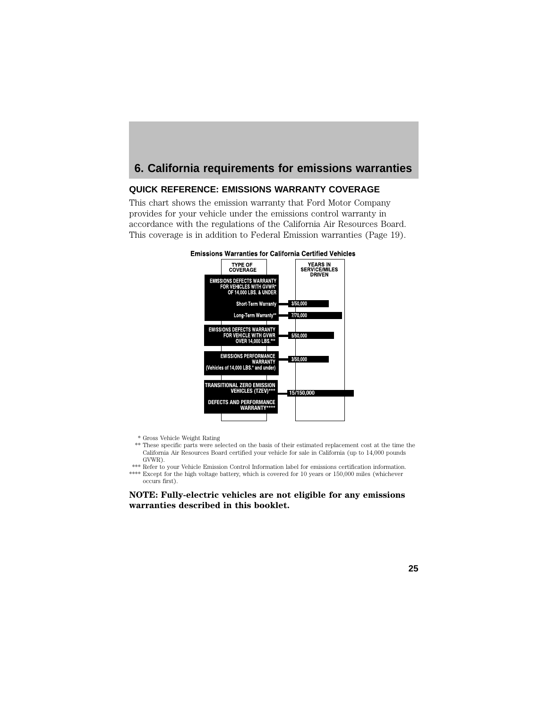# **6. California requirements for emissions warranties**

## **QUICK REFERENCE: EMISSIONS WARRANTY COVERAGE**

This chart shows the emission warranty that Ford Motor Company provides for your vehicle under the emissions control warranty in accordance with the regulations of the California Air Resources Board. This coverage is in addition to Federal Emission warranties (Page 19).





- \* Gross Vehicle Weight Rating
- \*\* These specific parts were selected on the basis of their estimated replacement cost at the time the California Air Resources Board certified your vehicle for sale in California (up to 14,000 pounds GVWR).
- \*\*\* Refer to your Vehicle Emission Control Information label for emissions certification information. \*\*\*\* Except for the high voltage battery, which is covered for 10 years or 150,000 miles (whichever occurs first).

**NOTE: Fully-electric vehicles are not eligible for any emissions warranties described in this booklet.**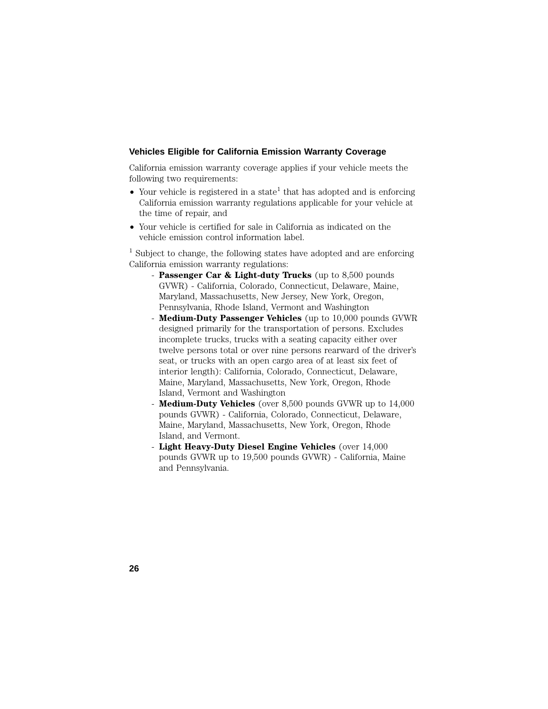#### **Vehicles Eligible for California Emission Warranty Coverage**

California emission warranty coverage applies if your vehicle meets the following two requirements:

- Your vehicle is registered in a state<sup>1</sup> that has adopted and is enforcing California emission warranty regulations applicable for your vehicle at the time of repair, and
- Your vehicle is certified for sale in California as indicated on the vehicle emission control information label.

 $1$  Subject to change, the following states have adopted and are enforcing California emission warranty regulations:

- **Passenger Car & Light-duty Trucks** (up to 8,500 pounds GVWR) - California, Colorado, Connecticut, Delaware, Maine, Maryland, Massachusetts, New Jersey, New York, Oregon, Pennsylvania, Rhode Island, Vermont and Washington
- **Medium-Duty Passenger Vehicles** (up to 10,000 pounds GVWR designed primarily for the transportation of persons. Excludes incomplete trucks, trucks with a seating capacity either over twelve persons total or over nine persons rearward of the driver's seat, or trucks with an open cargo area of at least six feet of interior length): California, Colorado, Connecticut, Delaware, Maine, Maryland, Massachusetts, New York, Oregon, Rhode Island, Vermont and Washington
- **Medium-Duty Vehicles** (over 8,500 pounds GVWR up to 14,000 pounds GVWR) - California, Colorado, Connecticut, Delaware, Maine, Maryland, Massachusetts, New York, Oregon, Rhode Island, and Vermont.
- **Light Heavy-Duty Diesel Engine Vehicles** (over 14,000 pounds GVWR up to 19,500 pounds GVWR) - California, Maine and Pennsylvania.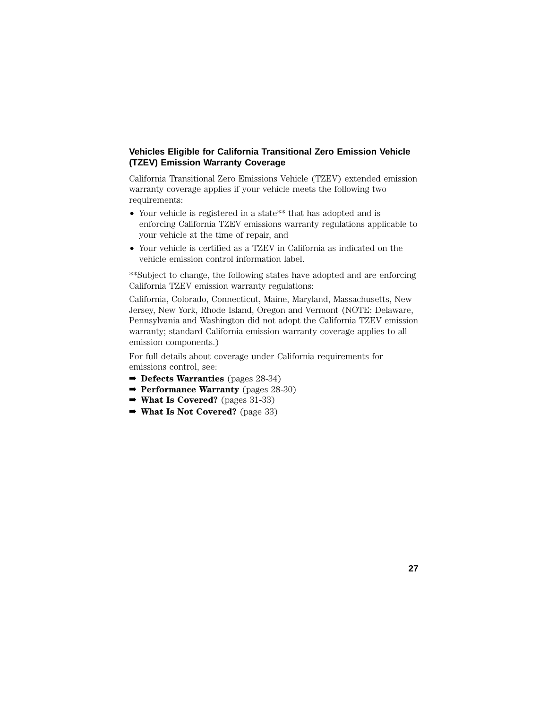### **Vehicles Eligible for California Transitional Zero Emission Vehicle (TZEV) Emission Warranty Coverage**

California Transitional Zero Emissions Vehicle (TZEV) extended emission warranty coverage applies if your vehicle meets the following two requirements:

- Your vehicle is registered in a state\*\* that has adopted and is enforcing California TZEV emissions warranty regulations applicable to your vehicle at the time of repair, and
- Your vehicle is certified as a TZEV in California as indicated on the vehicle emission control information label.

\*\*Subject to change, the following states have adopted and are enforcing California TZEV emission warranty regulations:

California, Colorado, Connecticut, Maine, Maryland, Massachusetts, New Jersey, New York, Rhode Island, Oregon and Vermont (NOTE: Delaware, Pennsylvania and Washington did not adopt the California TZEV emission warranty; standard California emission warranty coverage applies to all emission components.)

**27**

For full details about coverage under California requirements for emissions control, see:

- ➡ **Defects Warranties** (pages 28-34)
- ➡ **Performance Warranty** (pages 28-30)
- ➡ **What Is Covered?** (pages 31-33)
- ➡ **What Is Not Covered?** (page 33)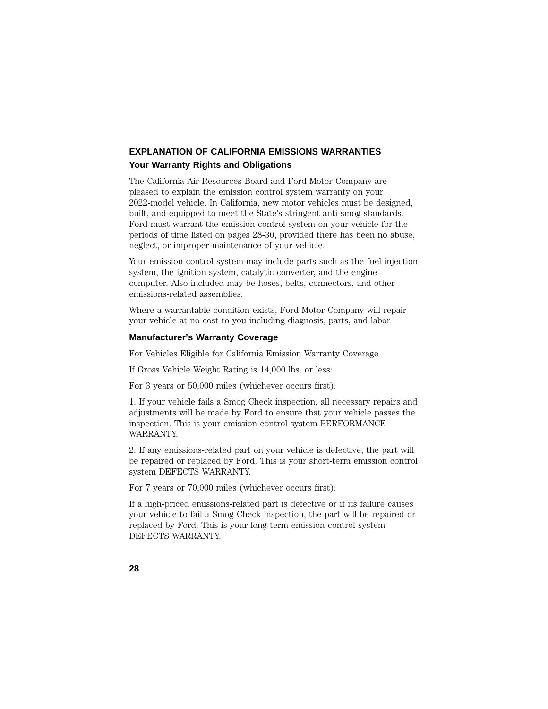# **EXPLANATION OF CALIFORNIA EMISSIONS WARRANTIES Your Warranty Rights and Obligations**

The California Air Resources Board and Ford Motor Company are pleased to explain the emission control system warranty on your 2022-model vehicle. In California, new motor vehicles must be designed, built, and equipped to meet the State's stringent anti-smog standards. Ford must warrant the emission control system on your vehicle for the periods of time listed on pages 28-30, provided there has been no abuse, neglect, or improper maintenance of your vehicle.

Your emission control system may include parts such as the fuel injection system, the ignition system, catalytic converter, and the engine computer. Also included may be hoses, belts, connectors, and other emissions-related assemblies.

Where a warrantable condition exists, Ford Motor Company will repair your vehicle at no cost to you including diagnosis, parts, and labor.

#### **Manufacturer's Warranty Coverage**

#### For Vehicles Eligible for California Emission Warranty Coverage

If Gross Vehicle Weight Rating is 14,000 lbs. or less:

For 3 years or 50,000 miles (whichever occurs first):

1. If your vehicle fails a Smog Check inspection, all necessary repairs and adjustments will be made by Ford to ensure that your vehicle passes the inspection. This is your emission control system PERFORMANCE WARRANTY.

2. If any emissions-related part on your vehicle is defective, the part will be repaired or replaced by Ford. This is your short-term emission control system DEFECTS WARRANTY.

For 7 years or 70,000 miles (whichever occurs first):

If a high-priced emissions-related part is defective or if its failure causes your vehicle to fail a Smog Check inspection, the part will be repaired or replaced by Ford. This is your long-term emission control system DEFECTS WARRANTY.

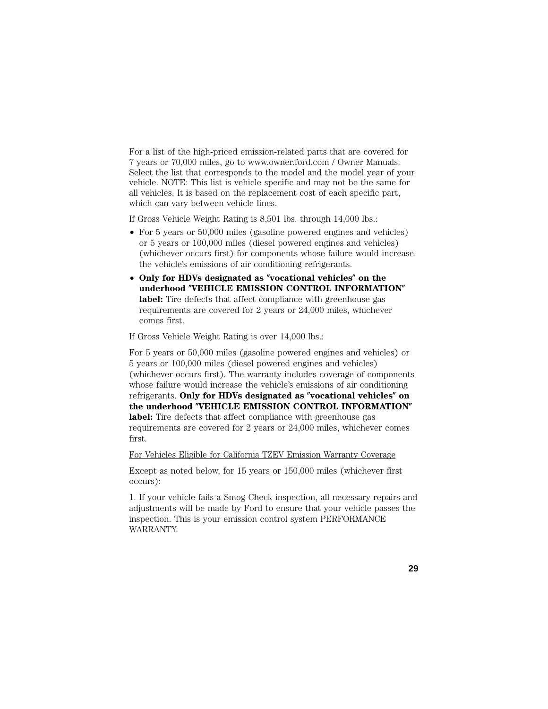For a list of the high-priced emission-related parts that are covered for 7 years or 70,000 miles, go to www.owner.ford.com / Owner Manuals. Select the list that corresponds to the model and the model year of your vehicle. NOTE: This list is vehicle specific and may not be the same for all vehicles. It is based on the replacement cost of each specific part, which can vary between vehicle lines.

If Gross Vehicle Weight Rating is 8,501 lbs. through 14,000 lbs.:

- For 5 years or 50,000 miles (gasoline powered engines and vehicles) or 5 years or 100,000 miles (diesel powered engines and vehicles) (whichever occurs first) for components whose failure would increase the vehicle's emissions of air conditioning refrigerants.
- Only for HDVs designated as "vocational vehicles" on the **underhood VEHICLE EMISSION CONTROL INFORMATION** label: Tire defects that affect compliance with greenhouse gas requirements are covered for 2 years or 24,000 miles, whichever comes first.

If Gross Vehicle Weight Rating is over 14,000 lbs.:

For 5 years or 50,000 miles (gasoline powered engines and vehicles) or 5 years or 100,000 miles (diesel powered engines and vehicles) (whichever occurs first). The warranty includes coverage of components whose failure would increase the vehicle's emissions of air conditioning refrigerants. Only for HDVs designated as "vocational vehicles" on **the underhood VEHICLE EMISSION CONTROL INFORMATION label:** Tire defects that affect compliance with greenhouse gas requirements are covered for 2 years or 24,000 miles, whichever comes first.

For Vehicles Eligible for California TZEV Emission Warranty Coverage

Except as noted below, for 15 years or 150,000 miles (whichever first occurs):

1. If your vehicle fails a Smog Check inspection, all necessary repairs and adjustments will be made by Ford to ensure that your vehicle passes the inspection. This is your emission control system PERFORMANCE WARRANTY.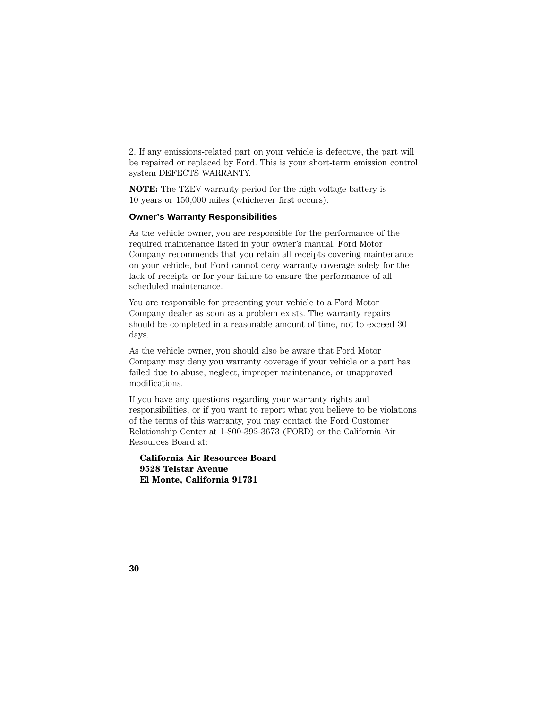2. If any emissions-related part on your vehicle is defective, the part will be repaired or replaced by Ford. This is your short-term emission control system DEFECTS WARRANTY.

**NOTE:** The TZEV warranty period for the high-voltage battery is 10 years or 150,000 miles (whichever first occurs).

#### **Owner's Warranty Responsibilities**

As the vehicle owner, you are responsible for the performance of the required maintenance listed in your owner's manual. Ford Motor Company recommends that you retain all receipts covering maintenance on your vehicle, but Ford cannot deny warranty coverage solely for the lack of receipts or for your failure to ensure the performance of all scheduled maintenance.

You are responsible for presenting your vehicle to a Ford Motor Company dealer as soon as a problem exists. The warranty repairs should be completed in a reasonable amount of time, not to exceed 30 days.

As the vehicle owner, you should also be aware that Ford Motor Company may deny you warranty coverage if your vehicle or a part has failed due to abuse, neglect, improper maintenance, or unapproved modifications.

If you have any questions regarding your warranty rights and responsibilities, or if you want to report what you believe to be violations of the terms of this warranty, you may contact the Ford Customer Relationship Center at 1-800-392-3673 (FORD) or the California Air Resources Board at:

**California Air Resources Board 9528 Telstar Avenue El Monte, California 91731**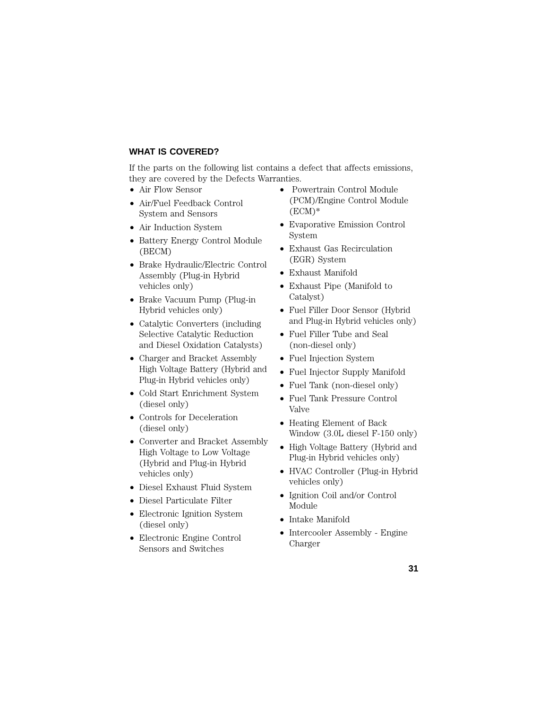## **WHAT IS COVERED?**

If the parts on the following list contains a defect that affects emissions, they are covered by the Defects Warranties.

- Air Flow Sensor
- Air/Fuel Feedback Control System and Sensors
- Air Induction System
- Battery Energy Control Module (BECM)
- Brake Hydraulic/Electric Control Assembly (Plug-in Hybrid vehicles only)
- Brake Vacuum Pump (Plug-in Hybrid vehicles only)
- Catalytic Converters (including Selective Catalytic Reduction and Diesel Oxidation Catalysts)
- Charger and Bracket Assembly High Voltage Battery (Hybrid and Plug-in Hybrid vehicles only)
- Cold Start Enrichment System (diesel only)
- Controls for Deceleration (diesel only)
- Converter and Bracket Assembly High Voltage to Low Voltage (Hybrid and Plug-in Hybrid vehicles only)
- Diesel Exhaust Fluid System
- Diesel Particulate Filter
- Electronic Ignition System (diesel only)
- Electronic Engine Control Sensors and Switches
- Powertrain Control Module (PCM)/Engine Control Module  $(ECM)*$
- Evaporative Emission Control System
- Exhaust Gas Recirculation (EGR) System
- Exhaust Manifold
- Exhaust Pipe (Manifold to Catalyst)
- Fuel Filler Door Sensor (Hybrid and Plug-in Hybrid vehicles only)
- Fuel Filler Tube and Seal (non-diesel only)
- Fuel Injection System
- Fuel Injector Supply Manifold
- Fuel Tank (non-diesel only)
- Fuel Tank Pressure Control Valve
- Heating Element of Back Window (3.0L diesel F-150 only)
- High Voltage Battery (Hybrid and Plug-in Hybrid vehicles only)
- HVAC Controller (Plug-in Hybrid vehicles only)
- Ignition Coil and/or Control Module
- Intake Manifold
- Intercooler Assembly Engine Charger

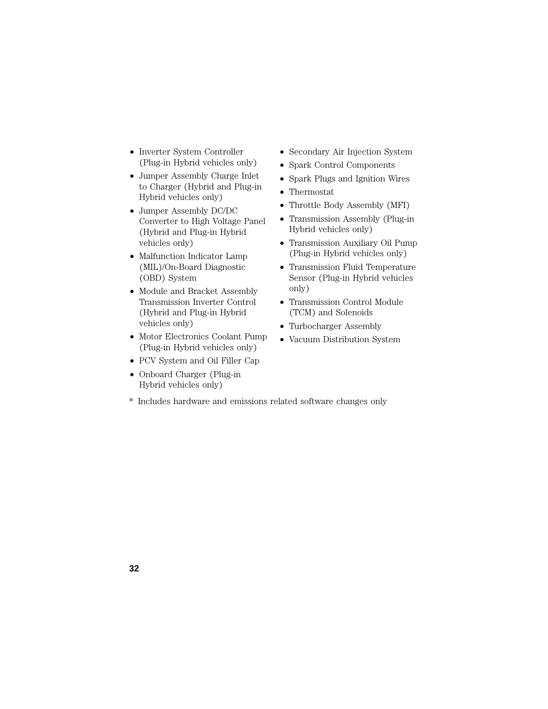- Inverter System Controller (Plug-in Hybrid vehicles only)
- Jumper Assembly Charge Inlet to Charger (Hybrid and Plug-in Hybrid vehicles only)
- Jumper Assembly DC/DC Converter to High Voltage Panel (Hybrid and Plug-in Hybrid vehicles only)
- Malfunction Indicator Lamp (MIL)/On-Board Diagnostic (OBD) System
- Module and Bracket Assembly Transmission Inverter Control (Hybrid and Plug-in Hybrid vehicles only)
- Motor Electronics Coolant Pump (Plug-in Hybrid vehicles only)
- PCV System and Oil Filler Cap
- Onboard Charger (Plug-in Hybrid vehicles only)
- Secondary Air Injection System
- Spark Control Components
- Spark Plugs and Ignition Wires
- Thermostat
- Throttle Body Assembly (MFI)
- Transmission Assembly (Plug-in Hybrid vehicles only)
- Transmission Auxiliary Oil Pump (Plug-in Hybrid vehicles only)
- Transmission Fluid Temperature Sensor (Plug-in Hybrid vehicles only)
- Transmission Control Module (TCM) and Solenoids
- Turbocharger Assembly
- Vacuum Distribution System
- \* Includes hardware and emissions related software changes only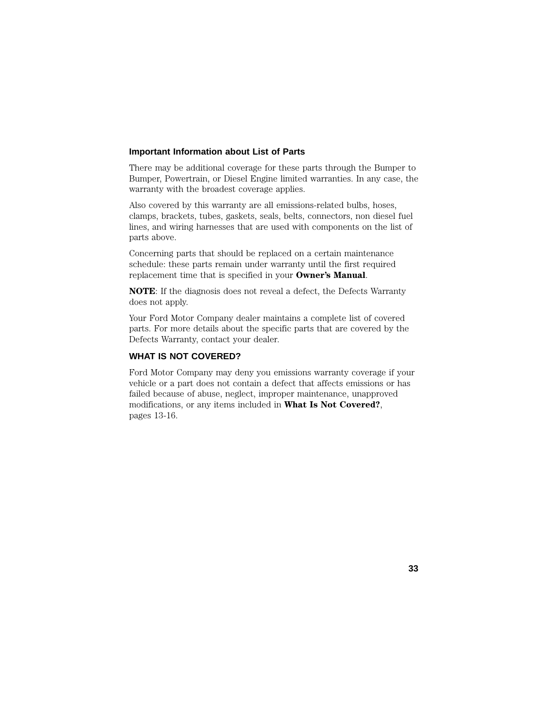#### **Important Information about List of Parts**

There may be additional coverage for these parts through the Bumper to Bumper, Powertrain, or Diesel Engine limited warranties. In any case, the warranty with the broadest coverage applies.

Also covered by this warranty are all emissions-related bulbs, hoses, clamps, brackets, tubes, gaskets, seals, belts, connectors, non diesel fuel lines, and wiring harnesses that are used with components on the list of parts above.

Concerning parts that should be replaced on a certain maintenance schedule: these parts remain under warranty until the first required replacement time that is specified in your **Owner's Manual**.

**NOTE**: If the diagnosis does not reveal a defect, the Defects Warranty does not apply.

Your Ford Motor Company dealer maintains a complete list of covered parts. For more details about the specific parts that are covered by the Defects Warranty, contact your dealer.

# **WHAT IS NOT COVERED?**

Ford Motor Company may deny you emissions warranty coverage if your vehicle or a part does not contain a defect that affects emissions or has failed because of abuse, neglect, improper maintenance, unapproved modifications, or any items included in **What Is Not Covered?**, pages 13-16.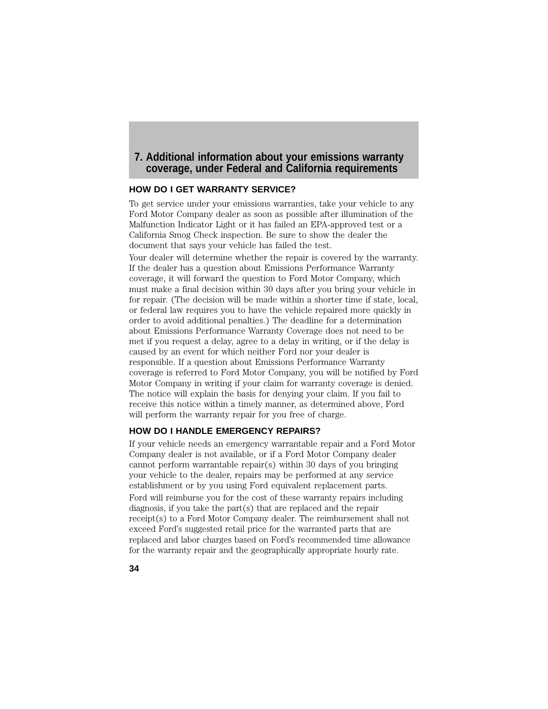# **7. Additional information about your emissions warranty coverage, under Federal and California requirements**

#### **HOW DO I GET WARRANTY SERVICE?**

To get service under your emissions warranties, take your vehicle to any Ford Motor Company dealer as soon as possible after illumination of the Malfunction Indicator Light or it has failed an EPA-approved test or a California Smog Check inspection. Be sure to show the dealer the document that says your vehicle has failed the test.

Your dealer will determine whether the repair is covered by the warranty. If the dealer has a question about Emissions Performance Warranty coverage, it will forward the question to Ford Motor Company, which must make a final decision within 30 days after you bring your vehicle in for repair. (The decision will be made within a shorter time if state, local, or federal law requires you to have the vehicle repaired more quickly in order to avoid additional penalties.) The deadline for a determination about Emissions Performance Warranty Coverage does not need to be met if you request a delay, agree to a delay in writing, or if the delay is caused by an event for which neither Ford nor your dealer is responsible. If a question about Emissions Performance Warranty coverage is referred to Ford Motor Company, you will be notified by Ford Motor Company in writing if your claim for warranty coverage is denied. The notice will explain the basis for denying your claim. If you fail to receive this notice within a timely manner, as determined above, Ford will perform the warranty repair for you free of charge.

### **HOW DO I HANDLE EMERGENCY REPAIRS?**

If your vehicle needs an emergency warrantable repair and a Ford Motor Company dealer is not available, or if a Ford Motor Company dealer cannot perform warrantable repair(s) within 30 days of you bringing your vehicle to the dealer, repairs may be performed at any service establishment or by you using Ford equivalent replacement parts. Ford will reimburse you for the cost of these warranty repairs including diagnosis, if you take the part(s) that are replaced and the repair receipt(s) to a Ford Motor Company dealer. The reimbursement shall not exceed Ford's suggested retail price for the warranted parts that are replaced and labor charges based on Ford's recommended time allowance for the warranty repair and the geographically appropriate hourly rate.

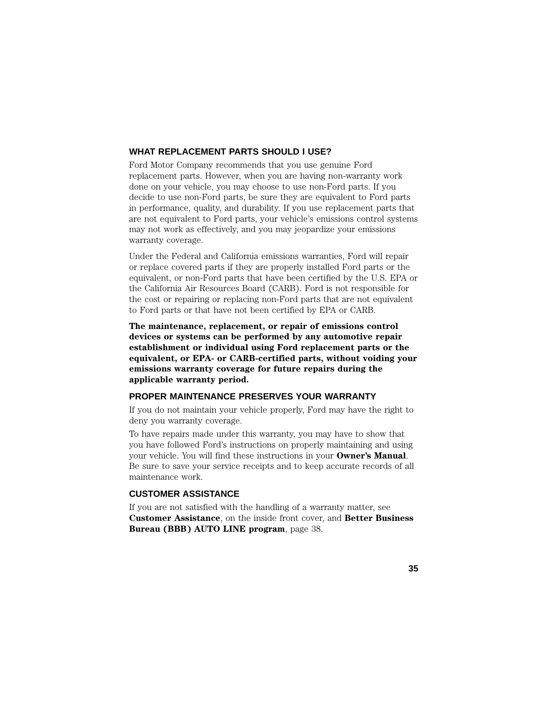#### **WHAT REPLACEMENT PARTS SHOULD I USE?**

Ford Motor Company recommends that you use genuine Ford replacement parts. However, when you are having non-warranty work done on your vehicle, you may choose to use non-Ford parts. If you decide to use non-Ford parts, be sure they are equivalent to Ford parts in performance, quality, and durability. If you use replacement parts that are not equivalent to Ford parts, your vehicle's emissions control systems may not work as effectively, and you may jeopardize your emissions warranty coverage.

Under the Federal and California emissions warranties, Ford will repair or replace covered parts if they are properly installed Ford parts or the equivalent, or non-Ford parts that have been certified by the U.S. EPA or the California Air Resources Board (CARB). Ford is not responsible for the cost or repairing or replacing non-Ford parts that are not equivalent to Ford parts or that have not been certified by EPA or CARB.

**The maintenance, replacement, or repair of emissions control devices or systems can be performed by any automotive repair establishment or individual using Ford replacement parts or the equivalent, or EPA- or CARB-certified parts, without voiding your emissions warranty coverage for future repairs during the applicable warranty period.**

#### **PROPER MAINTENANCE PRESERVES YOUR WARRANTY**

If you do not maintain your vehicle properly, Ford may have the right to deny you warranty coverage.

To have repairs made under this warranty, you may have to show that you have followed Ford's instructions on properly maintaining and using your vehicle. You will find these instructions in your **Owner's Manual**. Be sure to save your service receipts and to keep accurate records of all maintenance work.

## **CUSTOMER ASSISTANCE**

If you are not satisfied with the handling of a warranty matter, see **Customer Assistance**, on the inside front cover, and **Better Business Bureau (BBB) AUTO LINE program**, page 38.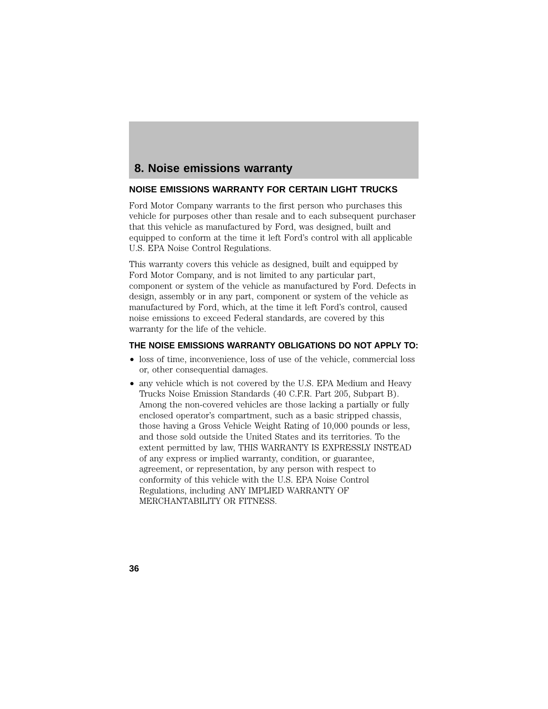# **8. Noise emissions warranty**

#### **NOISE EMISSIONS WARRANTY FOR CERTAIN LIGHT TRUCKS**

Ford Motor Company warrants to the first person who purchases this vehicle for purposes other than resale and to each subsequent purchaser that this vehicle as manufactured by Ford, was designed, built and equipped to conform at the time it left Ford's control with all applicable U.S. EPA Noise Control Regulations.

This warranty covers this vehicle as designed, built and equipped by Ford Motor Company, and is not limited to any particular part, component or system of the vehicle as manufactured by Ford. Defects in design, assembly or in any part, component or system of the vehicle as manufactured by Ford, which, at the time it left Ford's control, caused noise emissions to exceed Federal standards, are covered by this warranty for the life of the vehicle.

#### **THE NOISE EMISSIONS WARRANTY OBLIGATIONS DO NOT APPLY TO:**

- loss of time, inconvenience, loss of use of the vehicle, commercial loss or, other consequential damages.
- any vehicle which is not covered by the U.S. EPA Medium and Heavy Trucks Noise Emission Standards (40 C.F.R. Part 205, Subpart B). Among the non-covered vehicles are those lacking a partially or fully enclosed operator's compartment, such as a basic stripped chassis, those having a Gross Vehicle Weight Rating of 10,000 pounds or less, and those sold outside the United States and its territories. To the extent permitted by law, THIS WARRANTY IS EXPRESSLY INSTEAD of any express or implied warranty, condition, or guarantee, agreement, or representation, by any person with respect to conformity of this vehicle with the U.S. EPA Noise Control Regulations, including ANY IMPLIED WARRANTY OF MERCHANTABILITY OR FITNESS.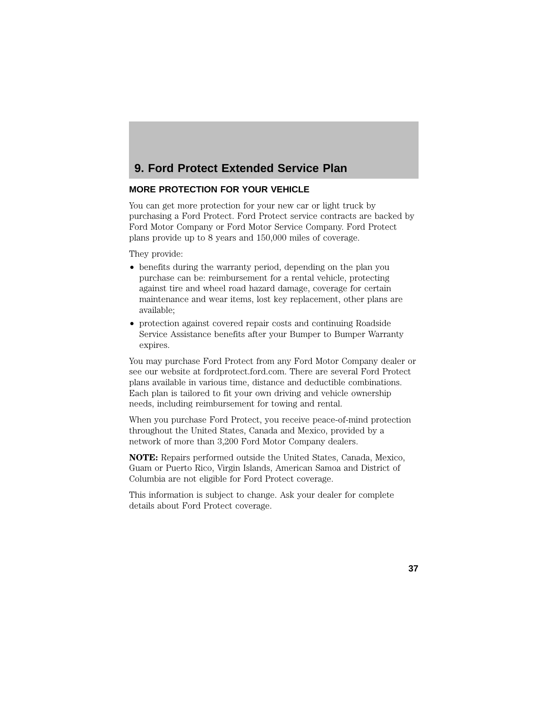# **9. Ford Protect Extended Service Plan**

#### **MORE PROTECTION FOR YOUR VEHICLE**

You can get more protection for your new car or light truck by purchasing a Ford Protect. Ford Protect service contracts are backed by Ford Motor Company or Ford Motor Service Company. Ford Protect plans provide up to 8 years and 150,000 miles of coverage.

They provide:

- benefits during the warranty period, depending on the plan you purchase can be: reimbursement for a rental vehicle, protecting against tire and wheel road hazard damage, coverage for certain maintenance and wear items, lost key replacement, other plans are available;
- protection against covered repair costs and continuing Roadside Service Assistance benefits after your Bumper to Bumper Warranty expires.

You may purchase Ford Protect from any Ford Motor Company dealer or see our website at fordprotect.ford.com. There are several Ford Protect plans available in various time, distance and deductible combinations. Each plan is tailored to fit your own driving and vehicle ownership needs, including reimbursement for towing and rental.

When you purchase Ford Protect, you receive peace-of-mind protection throughout the United States, Canada and Mexico, provided by a network of more than 3,200 Ford Motor Company dealers.

**NOTE:** Repairs performed outside the United States, Canada, Mexico, Guam or Puerto Rico, Virgin Islands, American Samoa and District of Columbia are not eligible for Ford Protect coverage.

This information is subject to change. Ask your dealer for complete details about Ford Protect coverage.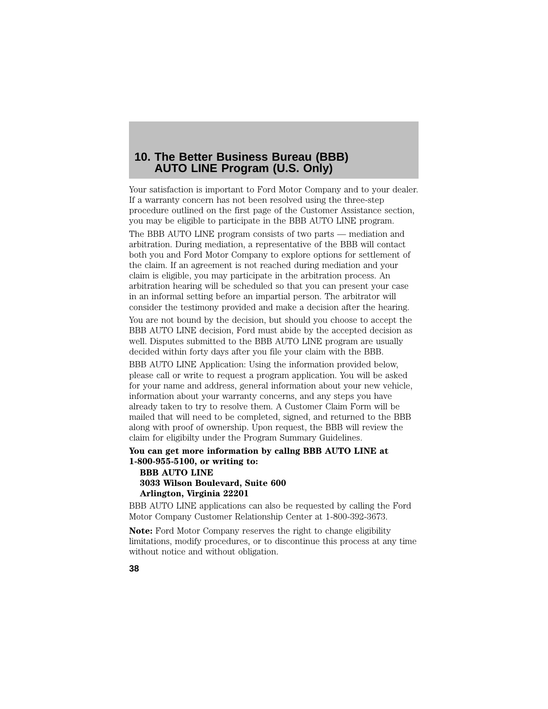# **10. The Better Business Bureau (BBB) AUTO LINE Program (U.S. Only)**

Your satisfaction is important to Ford Motor Company and to your dealer. If a warranty concern has not been resolved using the three-step procedure outlined on the first page of the Customer Assistance section, you may be eligible to participate in the BBB AUTO LINE program.

The BBB AUTO LINE program consists of two parts — mediation and arbitration. During mediation, a representative of the BBB will contact both you and Ford Motor Company to explore options for settlement of the claim. If an agreement is not reached during mediation and your claim is eligible, you may participate in the arbitration process. An arbitration hearing will be scheduled so that you can present your case in an informal setting before an impartial person. The arbitrator will consider the testimony provided and make a decision after the hearing.

You are not bound by the decision, but should you choose to accept the BBB AUTO LINE decision, Ford must abide by the accepted decision as well. Disputes submitted to the BBB AUTO LINE program are usually decided within forty days after you file your claim with the BBB.

BBB AUTO LINE Application: Using the information provided below, please call or write to request a program application. You will be asked for your name and address, general information about your new vehicle, information about your warranty concerns, and any steps you have already taken to try to resolve them. A Customer Claim Form will be mailed that will need to be completed, signed, and returned to the BBB along with proof of ownership. Upon request, the BBB will review the claim for eligibilty under the Program Summary Guidelines.

### **You can get more information by callng BBB AUTO LINE at 1-800-955-5100, or writing to:**

**BBB AUTO LINE 3033 Wilson Boulevard, Suite 600 Arlington, Virginia 22201**

BBB AUTO LINE applications can also be requested by calling the Ford Motor Company Customer Relationship Center at 1-800-392-3673.

**Note:** Ford Motor Company reserves the right to change eligibility limitations, modify procedures, or to discontinue this process at any time without notice and without obligation.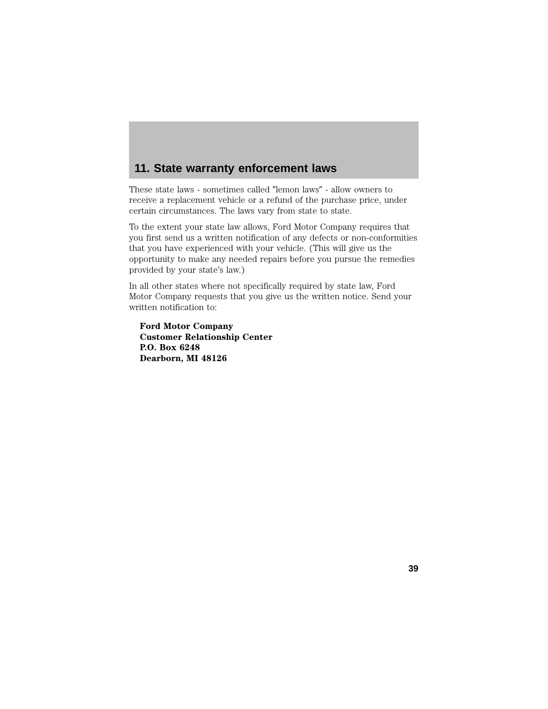# **11. State warranty enforcement laws**

These state laws - sometimes called "lemon laws" - allow owners to receive a replacement vehicle or a refund of the purchase price, under certain circumstances. The laws vary from state to state.

To the extent your state law allows, Ford Motor Company requires that you first send us a written notification of any defects or non-conformities that you have experienced with your vehicle. (This will give us the opportunity to make any needed repairs before you pursue the remedies provided by your state's law.)

In all other states where not specifically required by state law, Ford Motor Company requests that you give us the written notice. Send your written notification to:

**Ford Motor Company Customer Relationship Center P.O. Box 6248 Dearborn, MI 48126**